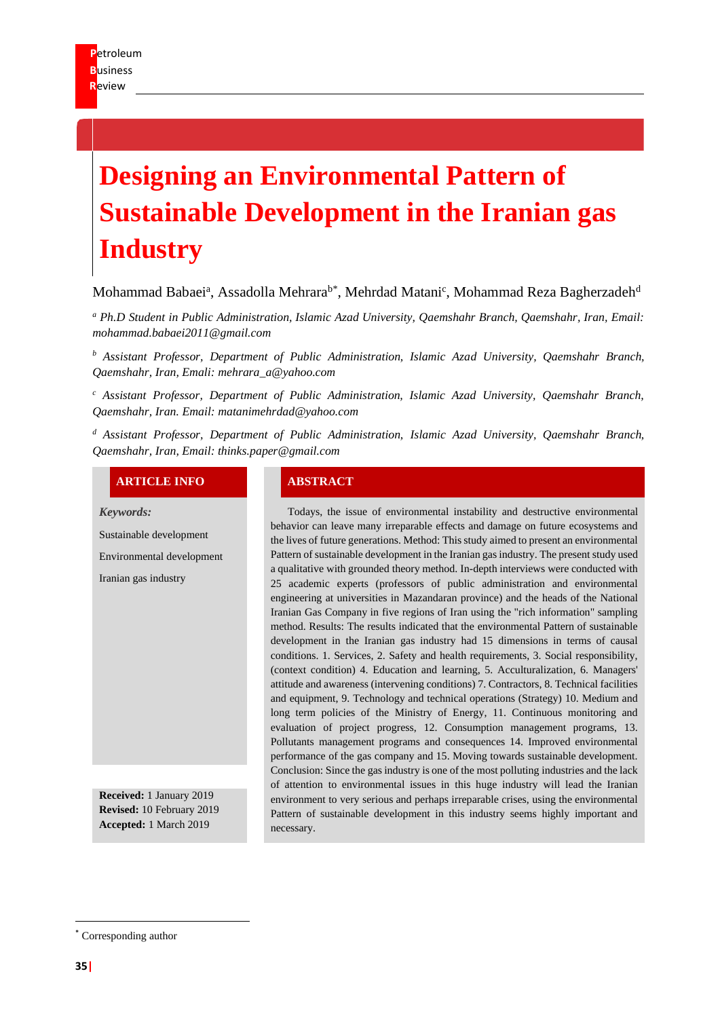# **Designing an Environmental Pattern of Sustainable Development in the Iranian gas Industry**

# Mohammad Babaei<sup>a</sup>, Assadolla Mehrara<sup>b\*</sup>, Mehrdad Matani<sup>c</sup>, Mohammad Reza Bagherzadeh<sup>d</sup>

*<sup>a</sup> Ph.D Student in Public Administration, Islamic Azad University, Qaemshahr Branch, Qaemshahr, Iran, Email: [mohammad.babaei2011@gmail.com](mailto:mohammad.babaei2011@gmail.com)*

*<sup>b</sup> Assistant Professor, Department of Public Administration, Islamic Azad University, Qaemshahr Branch, Qaemshahr, Iran, Emali: [mehrara\\_a@yahoo.com](mailto:mehrara_a@yahoo.com)*

*<sup>c</sup> Assistant Professor, Department of Public Administration, Islamic Azad University, Qaemshahr Branch, Qaemshahr, Iran. Email: [matanimehrdad@yahoo.com](mailto:matanimehrdad@yahoo.com)*

*<sup>d</sup> Assistant Professor, Department of Public Administration, Islamic Azad University, Qaemshahr Branch, Qaemshahr, Iran, Email: thinks.paper@gmail.com*

#### **ARTICLE INFO ABSTRACT**

*Keywords:*

Sustainable development

Environmental development

Iranian gas industry

**Received:** 1 January 2019 **Revised:** 10 February 2019 **Accepted:** 1 March 2019

Todays, the issue of environmental instability and destructive environmental behavior can leave many irreparable effects and damage on future ecosystems and the lives of future generations. Method: This study aimed to present an environmental Pattern of sustainable development in the Iranian gas industry. The present study used a qualitative with grounded theory method. In-depth interviews were conducted with 25 academic experts (professors of public administration and environmental engineering at universities in Mazandaran province) and the heads of the National Iranian Gas Company in five regions of Iran using the "rich information" sampling method. Results: The results indicated that the environmental Pattern of sustainable development in the Iranian gas industry had 15 dimensions in terms of causal conditions. 1. Services, 2. Safety and health requirements, 3. Social responsibility, (context condition) 4. Education and learning, 5. Acculturalization, 6. Managers' attitude and awareness (intervening conditions) 7. Contractors, 8. Technical facilities and equipment, 9. Technology and technical operations (Strategy) 10. Medium and long term policies of the Ministry of Energy, 11. Continuous monitoring and evaluation of project progress, 12. Consumption management programs, 13. Pollutants management programs and consequences 14. Improved environmental performance of the gas company and 15. Moving towards sustainable development. Conclusion: Since the gas industry is one of the most polluting industries and the lack of attention to environmental issues in this huge industry will lead the Iranian environment to very serious and perhaps irreparable crises, using the environmental Pattern of sustainable development in this industry seems highly important and necessary.

<sup>\*</sup> Corresponding author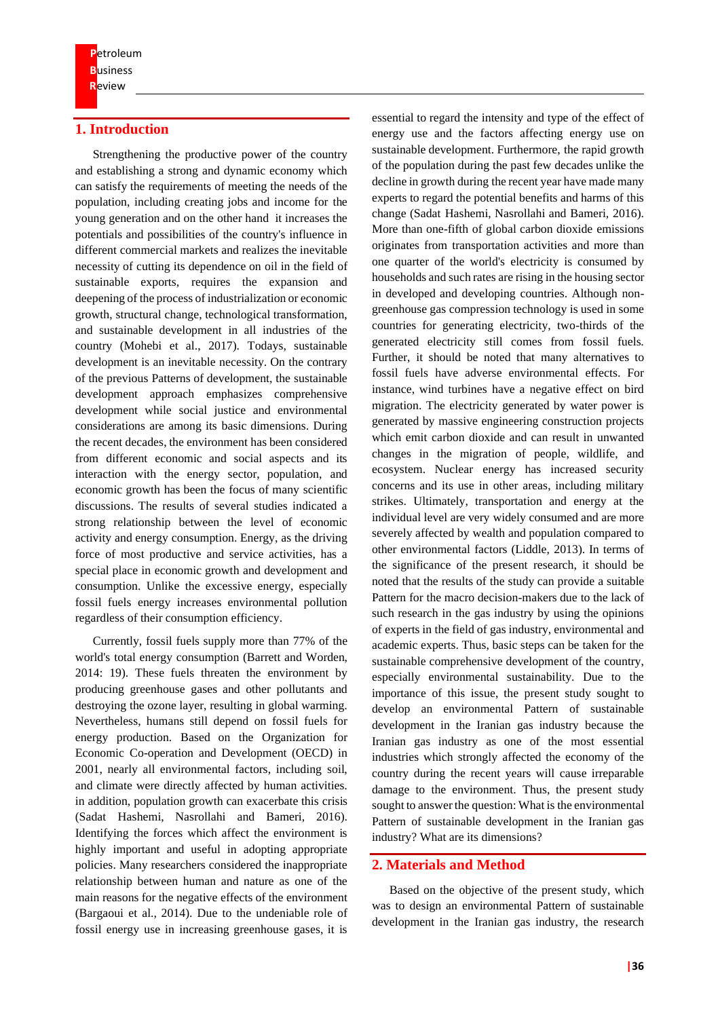# **1. Introduction**

Strengthening the productive power of the country and establishing a strong and dynamic economy which can satisfy the requirements of meeting the needs of the population, including creating jobs and income for the young generation and on the other hand it increases the potentials and possibilities of the country's influence in different commercial markets and realizes the inevitable necessity of cutting its dependence on oil in the field of sustainable exports, requires the expansion and deepening of the process of industrialization or economic growth, structural change, technological transformation, and sustainable development in all industries of the country (Mohebi et al., 2017). Todays, sustainable development is an inevitable necessity. On the contrary of the previous Patterns of development, the sustainable development approach emphasizes comprehensive development while social justice and environmental considerations are among its basic dimensions. During the recent decades, the environment has been considered from different economic and social aspects and its interaction with the energy sector, population, and economic growth has been the focus of many scientific discussions. The results of several studies indicated a strong relationship between the level of economic activity and energy consumption. Energy, as the driving force of most productive and service activities, has a special place in economic growth and development and consumption. Unlike the excessive energy, especially fossil fuels energy increases environmental pollution regardless of their consumption efficiency.

Currently, fossil fuels supply more than 77% of the world's total energy consumption (Barrett and Worden, 2014: 19). These fuels threaten the environment by producing greenhouse gases and other pollutants and destroying the ozone layer, resulting in global warming. Nevertheless, humans still depend on fossil fuels for energy production. Based on the Organization for Economic Co-operation and Development (OECD) in 2001, nearly all environmental factors, including soil, and climate were directly affected by human activities. in addition, population growth can exacerbate this crisis (Sadat Hashemi, Nasrollahi and Bameri, 2016). Identifying the forces which affect the environment is highly important and useful in adopting appropriate policies. Many researchers considered the inappropriate relationship between human and nature as one of the main reasons for the negative effects of the environment (Bargaoui et al., 2014). Due to the undeniable role of fossil energy use in increasing greenhouse gases, it is

essential to regard the intensity and type of the effect of energy use and the factors affecting energy use on sustainable development. Furthermore, the rapid growth of the population during the past few decades unlike the decline in growth during the recent year have made many experts to regard the potential benefits and harms of this change (Sadat Hashemi, Nasrollahi and Bameri, 2016). More than one-fifth of global carbon dioxide emissions originates from transportation activities and more than one quarter of the world's electricity is consumed by households and such rates are rising in the housing sector in developed and developing countries. Although nongreenhouse gas compression technology is used in some countries for generating electricity, two-thirds of the generated electricity still comes from fossil fuels. Further, it should be noted that many alternatives to fossil fuels have adverse environmental effects. For instance, wind turbines have a negative effect on bird migration. The electricity generated by water power is generated by massive engineering construction projects which emit carbon dioxide and can result in unwanted changes in the migration of people, wildlife, and ecosystem. Nuclear energy has increased security concerns and its use in other areas, including military strikes. Ultimately, transportation and energy at the individual level are very widely consumed and are more severely affected by wealth and population compared to other environmental factors (Liddle, 2013). In terms of the significance of the present research, it should be noted that the results of the study can provide a suitable Pattern for the macro decision-makers due to the lack of such research in the gas industry by using the opinions of experts in the field of gas industry, environmental and academic experts. Thus, basic steps can be taken for the sustainable comprehensive development of the country, especially environmental sustainability. Due to the importance of this issue, the present study sought to develop an environmental Pattern of sustainable development in the Iranian gas industry because the Iranian gas industry as one of the most essential industries which strongly affected the economy of the country during the recent years will cause irreparable damage to the environment. Thus, the present study sought to answer the question: What is the environmental Pattern of sustainable development in the Iranian gas industry? What are its dimensions?

#### **2. Materials and Method**

Based on the objective of the present study, which was to design an environmental Pattern of sustainable development in the Iranian gas industry, the research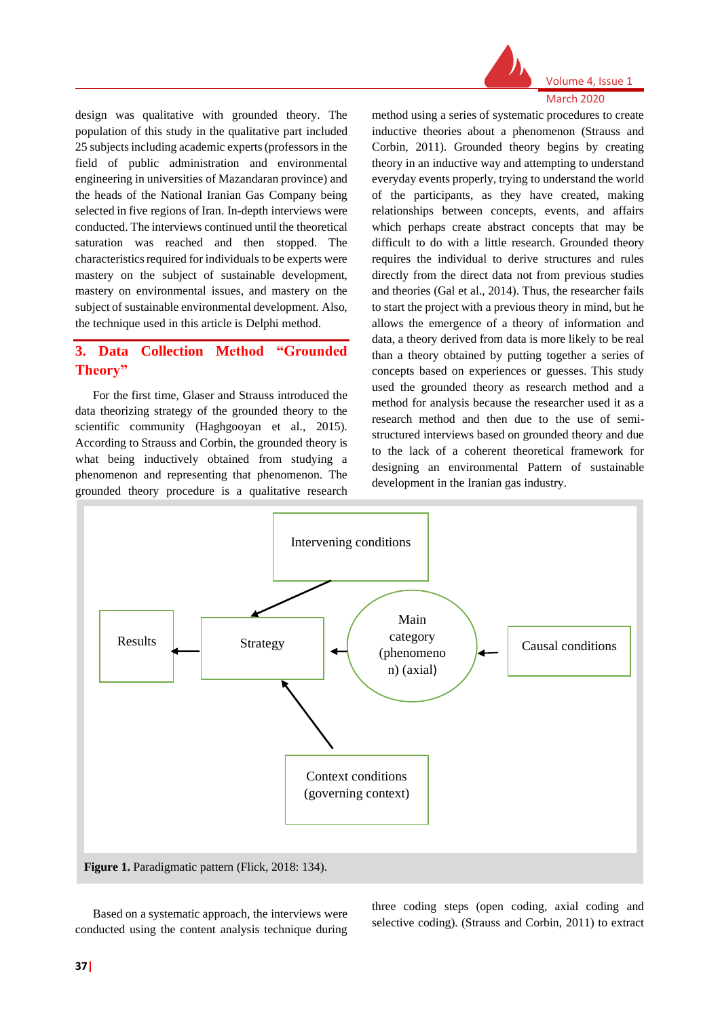

Volume 4, Issue 1 March 2020

design was qualitative with grounded theory. The population of this study in the qualitative part included 25 subjects including academic experts (professors in the field of public administration and environmental engineering in universities of Mazandaran province) and the heads of the National Iranian Gas Company being selected in five regions of Iran. In-depth interviews were conducted. The interviews continued until the theoretical saturation was reached and then stopped. The characteristics required for individuals to be experts were mastery on the subject of sustainable development, mastery on environmental issues, and mastery on the subject of sustainable environmental development. Also, the technique used in this article is Delphi method.

# **3. Data Collection Method "Grounded Theory"**

For the first time, Glaser and Strauss introduced the data theorizing strategy of the grounded theory to the scientific community (Haghgooyan et al., 2015). According to Strauss and Corbin, the grounded theory is what being inductively obtained from studying a phenomenon and representing that phenomenon. The grounded theory procedure is a qualitative research method using a series of systematic procedures to create inductive theories about a phenomenon (Strauss and Corbin, 2011). Grounded theory begins by creating theory in an inductive way and attempting to understand everyday events properly, trying to understand the world of the participants, as they have created, making relationships between concepts, events, and affairs which perhaps create abstract concepts that may be difficult to do with a little research. Grounded theory requires the individual to derive structures and rules directly from the direct data not from previous studies and theories (Gal et al., 2014). Thus, the researcher fails to start the project with a previous theory in mind, but he allows the emergence of a theory of information and data, a theory derived from data is more likely to be real than a theory obtained by putting together a series of concepts based on experiences or guesses. This study used the grounded theory as research method and a method for analysis because the researcher used it as a research method and then due to the use of semistructured interviews based on grounded theory and due to the lack of a coherent theoretical framework for designing an environmental Pattern of sustainable development in the Iranian gas industry.



Based on a systematic approach, the interviews were conducted using the content analysis technique during three coding steps (open coding, axial coding and selective coding). (Strauss and Corbin, 2011) to extract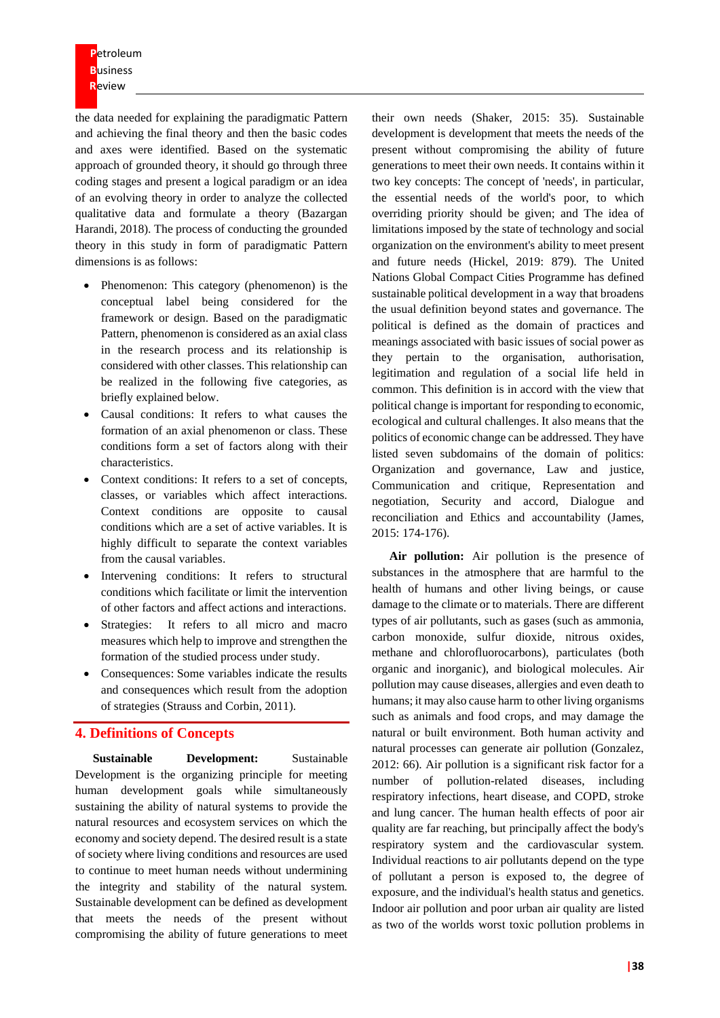the data needed for explaining the paradigmatic Pattern and achieving the final theory and then the basic codes and axes were identified. Based on the systematic approach of grounded theory, it should go through three coding stages and present a logical paradigm or an idea of an evolving theory in order to analyze the collected qualitative data and formulate a theory (Bazargan Harandi, 2018). The process of conducting the grounded theory in this study in form of paradigmatic Pattern dimensions is as follows:

- Phenomenon: This category (phenomenon) is the conceptual label being considered for the framework or design. Based on the paradigmatic Pattern, phenomenon is considered as an axial class in the research process and its relationship is considered with other classes. This relationship can be realized in the following five categories, as briefly explained below.
- Causal conditions: It refers to what causes the formation of an axial phenomenon or class. These conditions form a set of factors along with their characteristics.
- Context conditions: It refers to a set of concepts, classes, or variables which affect interactions. Context conditions are opposite to causal conditions which are a set of active variables. It is highly difficult to separate the context variables from the causal variables.
- Intervening conditions: It refers to structural conditions which facilitate or limit the intervention of other factors and affect actions and interactions.
- Strategies: It refers to all micro and macro measures which help to improve and strengthen the formation of the studied process under study.
- Consequences: Some variables indicate the results and consequences which result from the adoption of strategies (Strauss and Corbin, 2011).

# **4. Definitions of Concepts**

**Sustainable Development:** Sustainable Development is the organizing principle for meeting human development goals while simultaneously sustaining the ability of natural systems to provide the natural resources and ecosystem services on which the economy and society depend. The desired result is a state of society where living conditions and resources are used to continue to meet human needs without undermining the integrity and stability of the natural system. Sustainable development can be defined as development that meets the needs of the present without compromising the ability of future generations to meet

their own needs (Shaker, 2015: 35). Sustainable development is development that meets the needs of the present without compromising the ability of future generations to meet their own needs. It contains within it two key concepts: The concept of 'needs', in particular, the essential needs of the world's poor, to which overriding priority should be given; and The idea of limitations imposed by the state of technology and social organization on the environment's ability to meet present and future needs (Hickel, 2019: 879). The United Nations Global Compact Cities Programme has defined sustainable political development in a way that broadens the usual definition beyond states and governance. The political is defined as the domain of practices and meanings associated with basic issues of social power as they pertain to the organisation, authorisation, legitimation and regulation of a social life held in common. This definition is in accord with the view that political change is important for responding to economic, ecological and cultural challenges. It also means that the politics of economic change can be addressed. They have listed seven subdomains of the domain of politics: Organization and governance, Law and justice, Communication and critique, Representation and negotiation, Security and accord, Dialogue and reconciliation and Ethics and accountability (James, 2015: 174-176).

**Air pollution:** Air pollution is the presence of substances in the atmosphere that are harmful to the health of humans and other living beings, or cause damage to the climate or to materials. There are different types of air pollutants, such as gases (such as ammonia, carbon monoxide, sulfur dioxide, nitrous oxides, methane and chlorofluorocarbons), particulates (both organic and inorganic), and biological molecules. Air pollution may cause diseases, allergies and even death to humans; it may also cause harm to other living organisms such as animals and food crops, and may damage the natural or built environment. Both human activity and natural processes can generate air pollution (Gonzalez, 2012: 66). Air pollution is a significant risk factor for a number of pollution-related diseases, including respiratory infections, heart disease, and COPD, stroke and lung cancer. The human health effects of poor air quality are far reaching, but principally affect the body's respiratory system and the cardiovascular system. Individual reactions to air pollutants depend on the type of pollutant a person is exposed to, the degree of exposure, and the individual's health status and genetics. Indoor air pollution and poor urban air quality are listed as two of the worlds worst toxic pollution problems in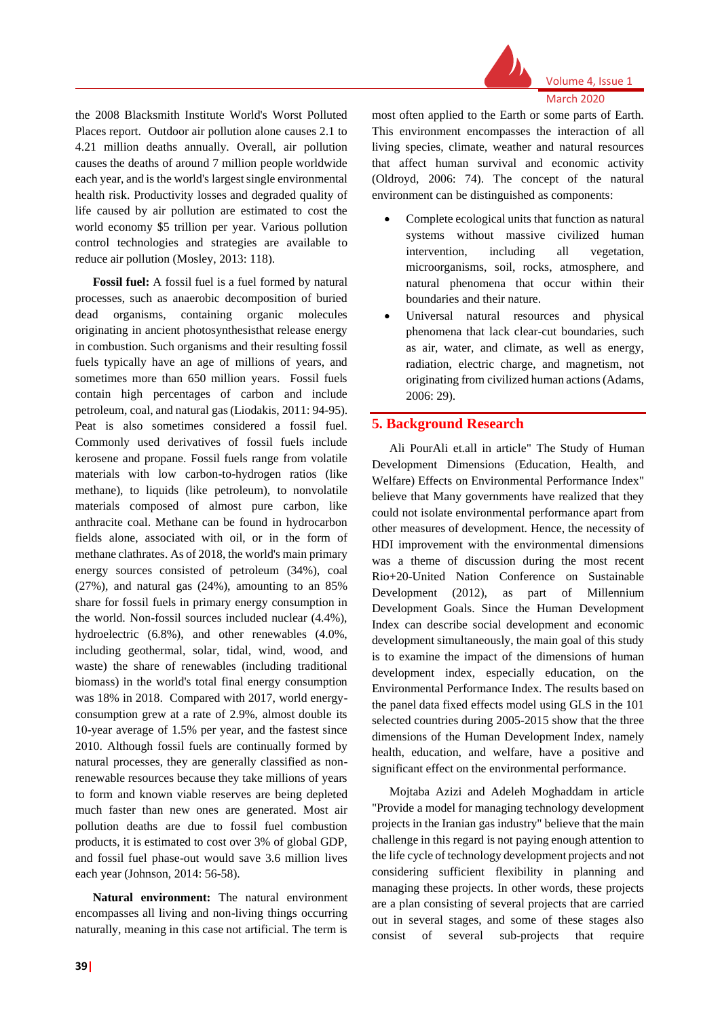

March 2020

the 2008 Blacksmith Institute World's Worst Polluted Places report. Outdoor air pollution alone causes 2.1 to 4.21 million deaths annually. Overall, air pollution causes the deaths of around 7 million people worldwide each year, and is the world's largest single environmental health risk. Productivity losses and degraded quality of life caused by air pollution are estimated to cost the world economy \$5 trillion per year. Various pollution control technologies and strategies are available to reduce air pollution (Mosley, 2013: 118).

**Fossil fuel:** A fossil fuel is a fuel formed by natural processes, such as anaerobic decomposition of buried dead organisms, containing organic molecules originating in ancient photosynthesisthat release energy in combustion. Such organisms and their resulting fossil fuels typically have an age of millions of years, and sometimes more than 650 million years. Fossil fuels contain high percentages of carbon and include petroleum, coal, and natural gas (Liodakis, 2011: 94-95). Peat is also sometimes considered a fossil fuel. Commonly used derivatives of fossil fuels include kerosene and propane. Fossil fuels range from volatile materials with low carbon-to-hydrogen ratios (like methane), to liquids (like petroleum), to nonvolatile materials composed of almost pure carbon, like anthracite coal. Methane can be found in hydrocarbon fields alone, associated with oil, or in the form of methane clathrates. As of 2018, the world's main primary energy sources consisted of petroleum (34%), coal (27%), and natural gas (24%), amounting to an 85% share for fossil fuels in primary energy consumption in the world. Non-fossil sources included nuclear (4.4%), hydroelectric (6.8%), and other renewables (4.0%, including geothermal, solar, tidal, wind, wood, and waste) the share of renewables (including traditional biomass) in the world's total final energy consumption was 18% in 2018. Compared with 2017, world energyconsumption grew at a rate of 2.9%, almost double its 10-year average of 1.5% per year, and the fastest since 2010. Although fossil fuels are continually formed by natural processes, they are generally classified as nonrenewable resources because they take millions of years to form and known viable reserves are being depleted much faster than new ones are generated. Most air pollution deaths are due to fossil fuel combustion products, it is estimated to cost over 3% of global GDP, and fossil fuel phase-out would save 3.6 million lives each year (Johnson, 2014: 56-58).

**Natural environment:** The natural environment encompasses all living and non-living things occurring naturally, meaning in this case not artificial. The term is

most often applied to the Earth or some parts of Earth. This environment encompasses the interaction of all living species, climate, weather and natural resources that affect human survival and economic activity (Oldroyd, 2006: 74). The concept of the natural environment can be distinguished as components:

- Complete ecological units that function as natural systems without massive civilized human intervention, including all vegetation, microorganisms, soil, rocks, atmosphere, and natural phenomena that occur within their boundaries and their nature.
- Universal natural resources and physical phenomena that lack clear-cut boundaries, such as air, water, and climate, as well as energy, radiation, electric charge, and magnetism, not originating from civilized human actions (Adams, 2006: 29).

### **5. Background Research**

Ali PourAli et.all in article" The Study of Human Development Dimensions (Education, Health, and Welfare) Effects on Environmental Performance Index" believe that Many governments have realized that they could not isolate environmental performance apart from other measures of development. Hence, the necessity of HDI improvement with the environmental dimensions was a theme of discussion during the most recent Rio+20-United Nation Conference on Sustainable Development (2012), as part of Millennium Development Goals. Since the Human Development Index can describe social development and economic development simultaneously, the main goal of this study is to examine the impact of the dimensions of human development index, especially education, on the Environmental Performance Index. The results based on the panel data fixed effects model using GLS in the 101 selected countries during 2005-2015 show that the three dimensions of the Human Development Index, namely health, education, and welfare, have a positive and significant effect on the environmental performance.

Mojtaba Azizi and Adeleh Moghaddam in article "Provide a model for managing technology development projects in the Iranian gas industry" believe that the main challenge in this regard is not paying enough attention to the life cycle of technology development projects and not considering sufficient flexibility in planning and managing these projects. In other words, these projects are a plan consisting of several projects that are carried out in several stages, and some of these stages also consist of several sub-projects that require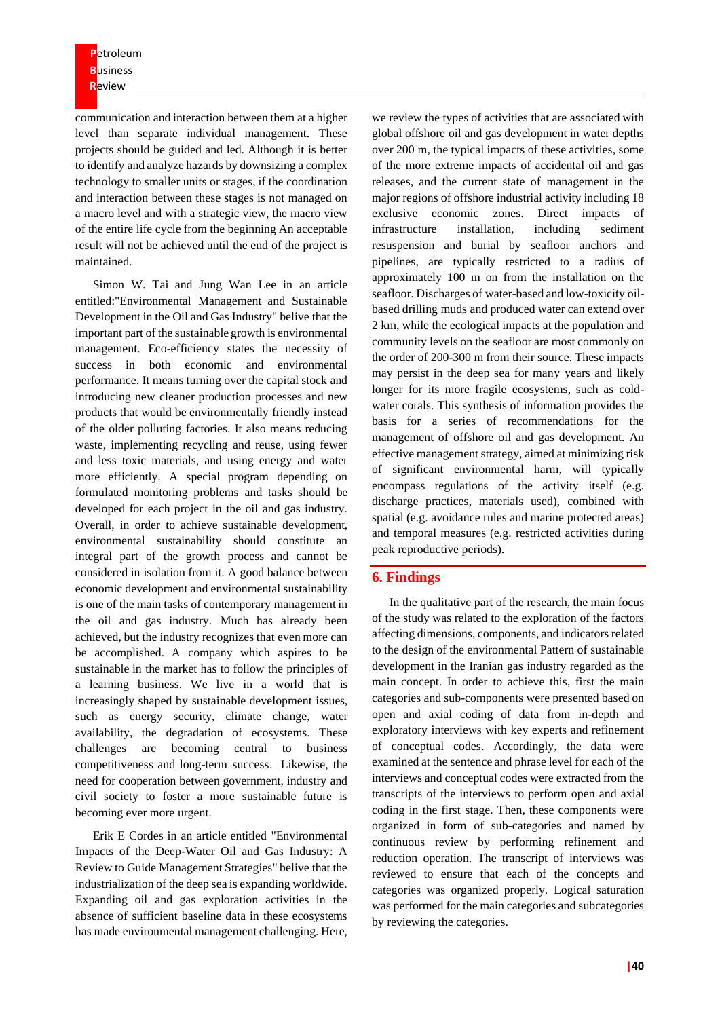communication and interaction between them at a higher level than separate individual management. These projects should be guided and led. Although it is better to identify and analyze hazards by downsizing a complex technology to smaller units or stages, if the coordination and interaction between these stages is not managed on a macro level and with a strategic view, the macro view of the entire life cycle from the beginning An acceptable result will not be achieved until the end of the project is maintained.

Simon W. Tai and Jung Wan Lee in an article entitled:"Environmental Management and Sustainable Development in the Oil and Gas Industry" belive that the important part of the sustainable growth is environmental management. Eco-efficiency states the necessity of success in both economic and environmental performance. It means turning over the capital stock and introducing new cleaner production processes and new products that would be environmentally friendly instead of the older polluting factories. It also means reducing waste, implementing recycling and reuse, using fewer and less toxic materials, and using energy and water more efficiently. A special program depending on formulated monitoring problems and tasks should be developed for each project in the oil and gas industry. Overall, in order to achieve sustainable development, environmental sustainability should constitute an integral part of the growth process and cannot be considered in isolation from it. A good balance between economic development and environmental sustainability is one of the main tasks of contemporary management in the oil and gas industry. Much has already been achieved, but the industry recognizes that even more can be accomplished. A company which aspires to be sustainable in the market has to follow the principles of a learning business. We live in a world that is increasingly shaped by sustainable development issues, such as energy security, climate change, water availability, the degradation of ecosystems. These challenges are becoming central to business competitiveness and long-term success. Likewise, the need for cooperation between government, industry and civil society to foster a more sustainable future is becoming ever more urgent.

Erik E Cordes in an article entitled "Environmental Impacts of the Deep-Water Oil and Gas Industry: A Review to Guide Management Strategies" belive that the industrialization of the deep sea is expanding worldwide. Expanding oil and gas exploration activities in the absence of sufficient baseline data in these ecosystems has made environmental management challenging. Here,

we review the types of activities that are associated with global offshore oil and gas development in water depths over 200 m, the typical impacts of these activities, some of the more extreme impacts of accidental oil and gas releases, and the current state of management in the major regions of offshore industrial activity including 18 exclusive economic zones. Direct impacts of infrastructure installation, including sediment resuspension and burial by seafloor anchors and pipelines, are typically restricted to a radius of approximately 100 m on from the installation on the seafloor. Discharges of water-based and low-toxicity oilbased drilling muds and produced water can extend over 2 km, while the ecological impacts at the population and community levels on the seafloor are most commonly on the order of 200-300 m from their source. These impacts may persist in the deep sea for many years and likely longer for its more fragile ecosystems, such as coldwater corals. This synthesis of information provides the basis for a series of recommendations for the management of offshore oil and gas development. An effective management strategy, aimed at minimizing risk of significant environmental harm, will typically encompass regulations of the activity itself (e.g. discharge practices, materials used), combined with spatial (e.g. avoidance rules and marine protected areas) and temporal measures (e.g. restricted activities during peak reproductive periods).

#### **6. Findings**

In the qualitative part of the research, the main focus of the study was related to the exploration of the factors affecting dimensions, components, and indicators related to the design of the environmental Pattern of sustainable development in the Iranian gas industry regarded as the main concept. In order to achieve this, first the main categories and sub-components were presented based on open and axial coding of data from in-depth and exploratory interviews with key experts and refinement of conceptual codes. Accordingly, the data were examined at the sentence and phrase level for each of the interviews and conceptual codes were extracted from the transcripts of the interviews to perform open and axial coding in the first stage. Then, these components were organized in form of sub-categories and named by continuous review by performing refinement and reduction operation. The transcript of interviews was reviewed to ensure that each of the concepts and categories was organized properly. Logical saturation was performed for the main categories and subcategories by reviewing the categories.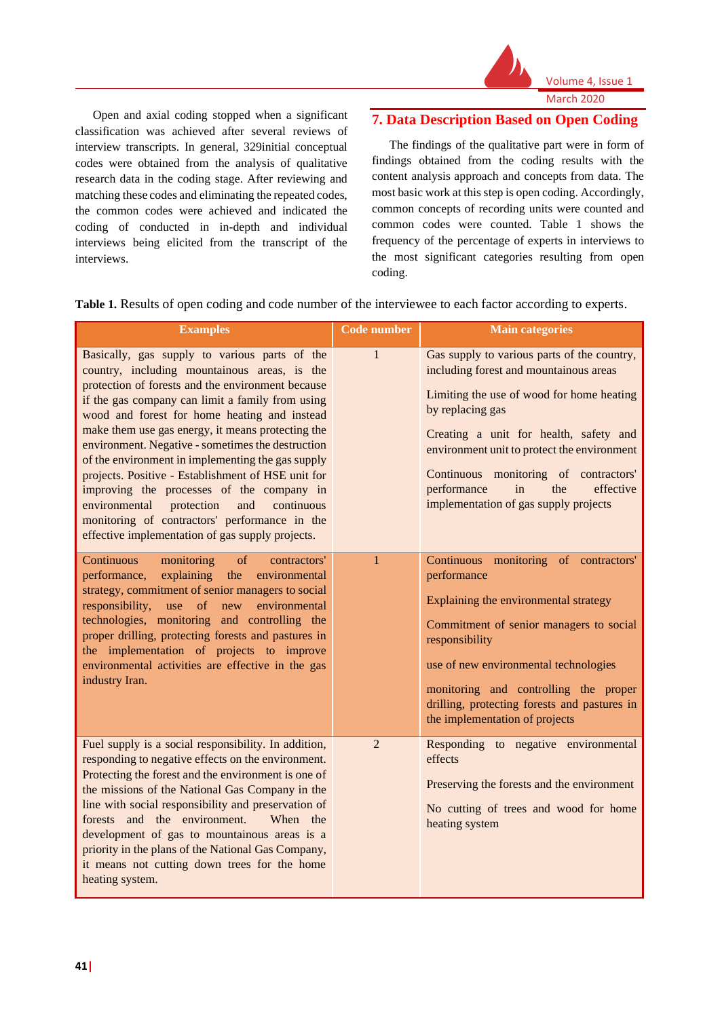

Volume 4, Issue 1 March 2020

Open and axial coding stopped when a significant classification was achieved after several reviews of interview transcripts. In general, 329initial conceptual codes were obtained from the analysis of qualitative research data in the coding stage. After reviewing and matching these codes and eliminating the repeated codes, the common codes were achieved and indicated the coding of conducted in in-depth and individual interviews being elicited from the transcript of the interviews.

# **7. Data Description Based on Open Coding**

The findings of the qualitative part were in form of findings obtained from the coding results with the content analysis approach and concepts from data. The most basic work at this step is open coding. Accordingly, common concepts of recording units were counted and common codes were counted. Table 1 shows the frequency of the percentage of experts in interviews to the most significant categories resulting from open coding.

**Table 1.** Results of open coding and code number of the interviewee to each factor according to experts.

| <b>Examples</b>                                                                                                                                                                                                                                                                                                                                                                                                                                                                                                                                                                                                                                                                   | <b>Code number</b> | <b>Main categories</b>                                                                                                                                                                                                                                                                                                                                                     |
|-----------------------------------------------------------------------------------------------------------------------------------------------------------------------------------------------------------------------------------------------------------------------------------------------------------------------------------------------------------------------------------------------------------------------------------------------------------------------------------------------------------------------------------------------------------------------------------------------------------------------------------------------------------------------------------|--------------------|----------------------------------------------------------------------------------------------------------------------------------------------------------------------------------------------------------------------------------------------------------------------------------------------------------------------------------------------------------------------------|
| Basically, gas supply to various parts of the<br>country, including mountainous areas, is the<br>protection of forests and the environment because<br>if the gas company can limit a family from using<br>wood and forest for home heating and instead<br>make them use gas energy, it means protecting the<br>environment. Negative - sometimes the destruction<br>of the environment in implementing the gas supply<br>projects. Positive - Establishment of HSE unit for<br>improving the processes of the company in<br>environmental<br>protection<br>continuous<br>and<br>monitoring of contractors' performance in the<br>effective implementation of gas supply projects. | $\mathbf{1}$       | Gas supply to various parts of the country,<br>including forest and mountainous areas<br>Limiting the use of wood for home heating<br>by replacing gas<br>Creating a unit for health, safety and<br>environment unit to protect the environment<br>Continuous monitoring of contractors'<br>performance<br>in<br>effective<br>the<br>implementation of gas supply projects |
| Continuous<br>of<br>monitoring<br>contractors'<br>explaining<br>the<br>environmental<br>performance,<br>strategy, commitment of senior managers to social<br>of new<br>environmental<br>responsibility,<br>use<br>technologies, monitoring and controlling the<br>proper drilling, protecting forests and pastures in<br>the implementation of projects to improve<br>environmental activities are effective in the gas<br>industry Iran.                                                                                                                                                                                                                                         | $\mathbf{1}$       | Continuous monitoring of contractors'<br>performance<br>Explaining the environmental strategy<br>Commitment of senior managers to social<br>responsibility<br>use of new environmental technologies<br>monitoring and controlling the proper<br>drilling, protecting forests and pastures in<br>the implementation of projects                                             |
| Fuel supply is a social responsibility. In addition,<br>responding to negative effects on the environment.<br>Protecting the forest and the environment is one of<br>the missions of the National Gas Company in the<br>line with social responsibility and preservation of<br>forests and the environment.<br>When the<br>development of gas to mountainous areas is a<br>priority in the plans of the National Gas Company,<br>it means not cutting down trees for the home<br>heating system.                                                                                                                                                                                  | $\overline{2}$     | Responding to negative environmental<br>effects<br>Preserving the forests and the environment<br>No cutting of trees and wood for home<br>heating system                                                                                                                                                                                                                   |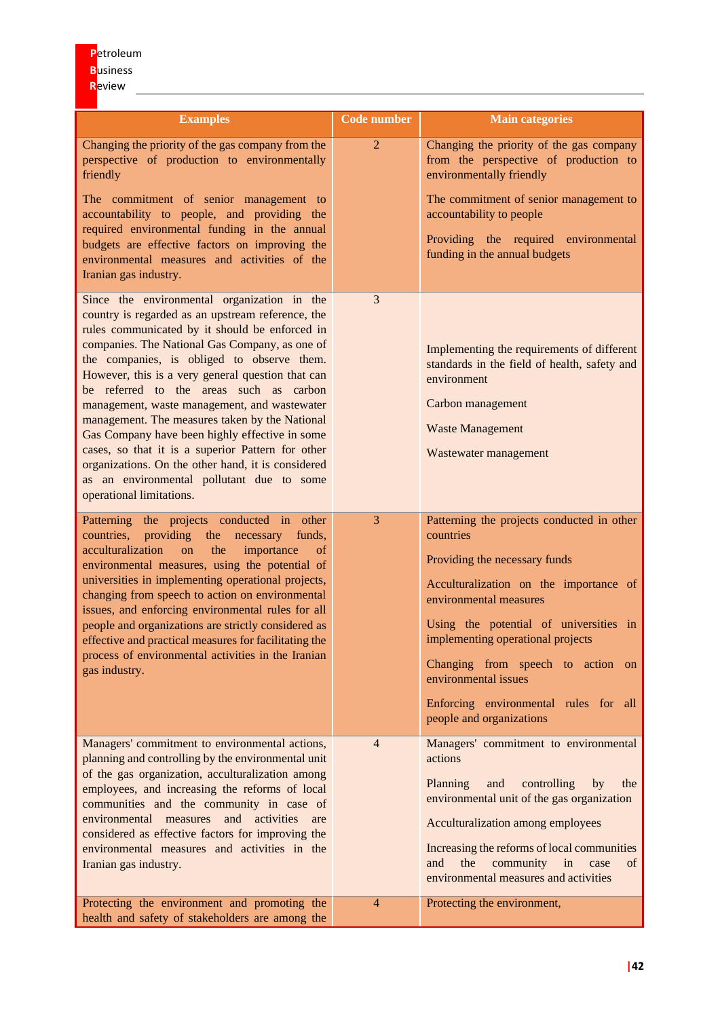| <b>Examples</b>                                                                                                                                                                                                                                                                                                                                                                                                                                                                                                                                                                                                                                                                            | <b>Code number</b> | <b>Main categories</b>                                                                                                                                                                                                                                                                                                                                                        |
|--------------------------------------------------------------------------------------------------------------------------------------------------------------------------------------------------------------------------------------------------------------------------------------------------------------------------------------------------------------------------------------------------------------------------------------------------------------------------------------------------------------------------------------------------------------------------------------------------------------------------------------------------------------------------------------------|--------------------|-------------------------------------------------------------------------------------------------------------------------------------------------------------------------------------------------------------------------------------------------------------------------------------------------------------------------------------------------------------------------------|
| Changing the priority of the gas company from the<br>perspective of production to environmentally<br>friendly                                                                                                                                                                                                                                                                                                                                                                                                                                                                                                                                                                              | $\overline{2}$     | Changing the priority of the gas company<br>from the perspective of production to<br>environmentally friendly                                                                                                                                                                                                                                                                 |
| The commitment of senior management to<br>accountability to people, and providing the                                                                                                                                                                                                                                                                                                                                                                                                                                                                                                                                                                                                      |                    | The commitment of senior management to<br>accountability to people                                                                                                                                                                                                                                                                                                            |
| required environmental funding in the annual<br>budgets are effective factors on improving the<br>environmental measures and activities of the<br>Iranian gas industry.                                                                                                                                                                                                                                                                                                                                                                                                                                                                                                                    |                    | Providing the required environmental<br>funding in the annual budgets                                                                                                                                                                                                                                                                                                         |
| Since the environmental organization in the<br>country is regarded as an upstream reference, the<br>rules communicated by it should be enforced in<br>companies. The National Gas Company, as one of<br>the companies, is obliged to observe them.<br>However, this is a very general question that can<br>be referred to the areas such as carbon<br>management, waste management, and wastewater<br>management. The measures taken by the National<br>Gas Company have been highly effective in some<br>cases, so that it is a superior Pattern for other<br>organizations. On the other hand, it is considered<br>as an environmental pollutant due to some<br>operational limitations. | 3                  | Implementing the requirements of different<br>standards in the field of health, safety and<br>environment<br>Carbon management<br><b>Waste Management</b><br>Wastewater management                                                                                                                                                                                            |
| Patterning the projects conducted in other<br>countries, providing<br>the<br>funds,<br>necessary<br>acculturalization<br>the<br><sub>on</sub><br>importance<br>of<br>environmental measures, using the potential of<br>universities in implementing operational projects,<br>changing from speech to action on environmental<br>issues, and enforcing environmental rules for all<br>people and organizations are strictly considered as<br>effective and practical measures for facilitating the<br>process of environmental activities in the Iranian<br>gas industry.                                                                                                                   | 3                  | Patterning the projects conducted in other<br>countries<br>Providing the necessary funds<br>Acculturalization on the importance of<br>environmental measures<br>Using the potential of universities in<br>implementing operational projects<br>Changing from speech to action on<br>environmental issues<br>Enforcing environmental rules for all<br>people and organizations |
| Managers' commitment to environmental actions,<br>planning and controlling by the environmental unit<br>of the gas organization, acculturalization among<br>employees, and increasing the reforms of local<br>communities and the community in case of<br>environmental measures and activities are<br>considered as effective factors for improving the<br>environmental measures and activities in the<br>Iranian gas industry.                                                                                                                                                                                                                                                          | $\overline{4}$     | Managers' commitment to environmental<br>actions<br>Planning<br>and<br>controlling<br>by<br>the<br>environmental unit of the gas organization<br>Acculturalization among employees<br>Increasing the reforms of local communities<br>the<br>community in<br>and<br>case<br>of<br>environmental measures and activities                                                        |
| Protecting the environment and promoting the<br>health and safety of stakeholders are among the                                                                                                                                                                                                                                                                                                                                                                                                                                                                                                                                                                                            | $\overline{4}$     | Protecting the environment,                                                                                                                                                                                                                                                                                                                                                   |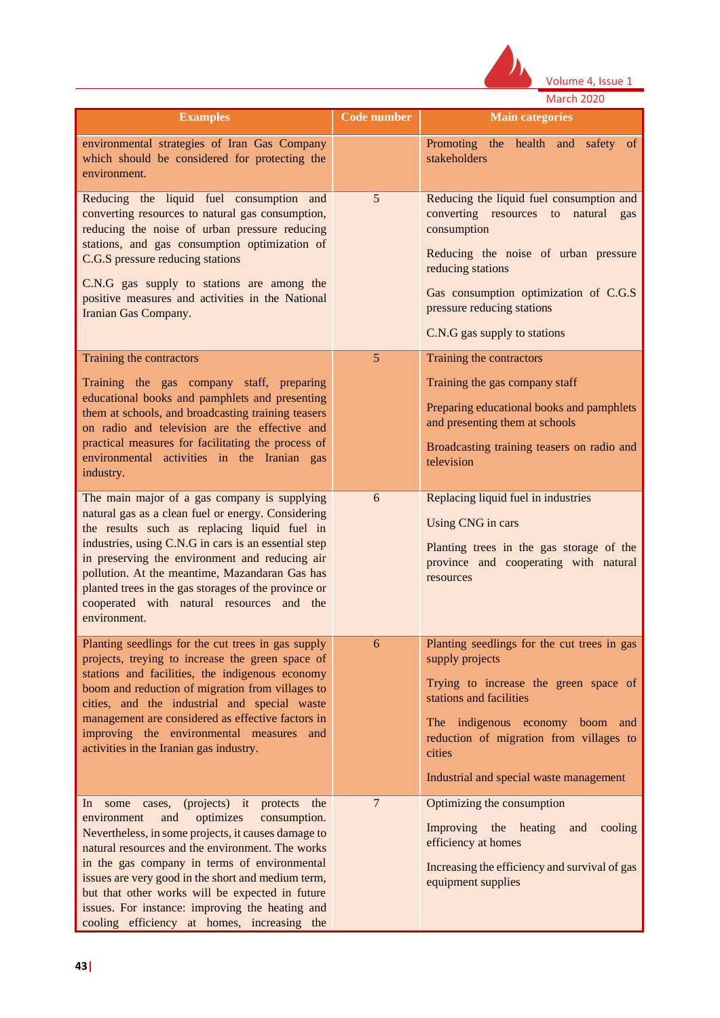

Volume 4, Issue 1 March 2020

| <b>Examples</b>                                                                                                                                                                                                                                                                                                                                                                                                                     | Code number    | <b>Main categories</b>                                                                                                                                                                                                                                                   |
|-------------------------------------------------------------------------------------------------------------------------------------------------------------------------------------------------------------------------------------------------------------------------------------------------------------------------------------------------------------------------------------------------------------------------------------|----------------|--------------------------------------------------------------------------------------------------------------------------------------------------------------------------------------------------------------------------------------------------------------------------|
| environmental strategies of Iran Gas Company<br>which should be considered for protecting the<br>environment.                                                                                                                                                                                                                                                                                                                       |                | Promoting the health and<br>safety of<br>stakeholders                                                                                                                                                                                                                    |
| Reducing the liquid fuel consumption and<br>converting resources to natural gas consumption,<br>reducing the noise of urban pressure reducing<br>stations, and gas consumption optimization of<br>C.G.S pressure reducing stations<br>C.N.G gas supply to stations are among the<br>positive measures and activities in the National<br>Iranian Gas Company.                                                                        | 5              | Reducing the liquid fuel consumption and<br>converting resources to<br>natural<br>gas<br>consumption<br>Reducing the noise of urban pressure<br>reducing stations<br>Gas consumption optimization of C.G.S<br>pressure reducing stations<br>C.N.G gas supply to stations |
| Training the contractors<br>Training the gas company staff, preparing<br>educational books and pamphlets and presenting                                                                                                                                                                                                                                                                                                             | 5              | Training the contractors<br>Training the gas company staff                                                                                                                                                                                                               |
| them at schools, and broadcasting training teasers<br>on radio and television are the effective and<br>practical measures for facilitating the process of<br>environmental activities in the Iranian gas<br>industry.                                                                                                                                                                                                               |                | Preparing educational books and pamphlets<br>and presenting them at schools<br>Broadcasting training teasers on radio and<br>television                                                                                                                                  |
| The main major of a gas company is supplying<br>natural gas as a clean fuel or energy. Considering<br>the results such as replacing liquid fuel in<br>industries, using C.N.G in cars is an essential step<br>in preserving the environment and reducing air<br>pollution. At the meantime, Mazandaran Gas has<br>planted trees in the gas storages of the province or<br>cooperated with natural resources and the<br>environment. | 6              | Replacing liquid fuel in industries<br>Using CNG in cars<br>Planting trees in the gas storage of the<br>province and cooperating with natural<br>resources                                                                                                               |
| Planting seedlings for the cut trees in gas supply<br>projects, treying to increase the green space of<br>stations and facilities, the indigenous economy<br>boom and reduction of migration from villages to<br>cities, and the industrial and special waste<br>management are considered as effective factors in<br>improving the environmental measures and<br>activities in the Iranian gas industry.                           | 6              | Planting seedlings for the cut trees in gas<br>supply projects<br>Trying to increase the green space of<br>stations and facilities<br>The indigenous economy boom and<br>reduction of migration from villages to<br>cities<br>Industrial and special waste management    |
| (projects) it<br>the<br>In some<br>protects<br>cases,<br>optimizes<br>environment<br>consumption.<br>and                                                                                                                                                                                                                                                                                                                            | $\overline{7}$ | Optimizing the consumption                                                                                                                                                                                                                                               |

Improving the heating and cooling efficiency at homes

Increasing the efficiency and survival of gas equipment supplies

Nevertheless, in some projects, it causes damage to natural resources and the environment. The works in the gas company in terms of environmental issues are very good in the short and medium term, but that other works will be expected in future issues. For instance: improving the heating and cooling efficiency at homes, increasing the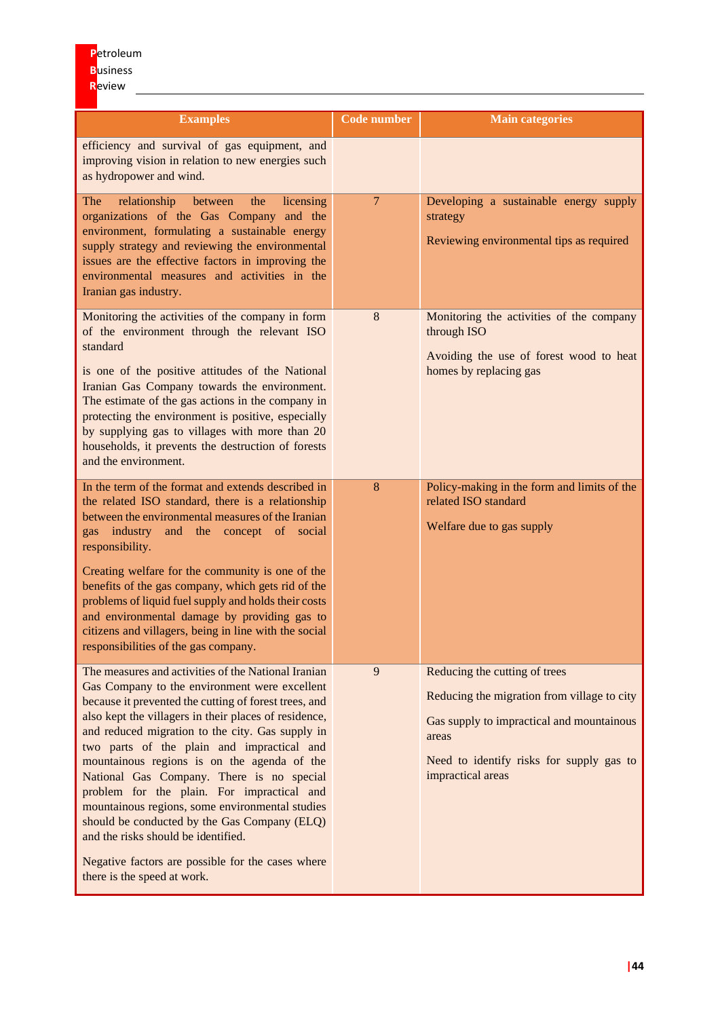| <b>Examples</b>                                                                                                                                                                                                                                                                                                                                                                                                                                                                                                                                                                                                                                                                                  | <b>Code number</b> | <b>Main categories</b>                                                                                                                                                                              |
|--------------------------------------------------------------------------------------------------------------------------------------------------------------------------------------------------------------------------------------------------------------------------------------------------------------------------------------------------------------------------------------------------------------------------------------------------------------------------------------------------------------------------------------------------------------------------------------------------------------------------------------------------------------------------------------------------|--------------------|-----------------------------------------------------------------------------------------------------------------------------------------------------------------------------------------------------|
| efficiency and survival of gas equipment, and<br>improving vision in relation to new energies such<br>as hydropower and wind.                                                                                                                                                                                                                                                                                                                                                                                                                                                                                                                                                                    |                    |                                                                                                                                                                                                     |
| The<br>relationship<br>between<br>licensing<br>the<br>organizations of the Gas Company and the<br>environment, formulating a sustainable energy<br>supply strategy and reviewing the environmental<br>issues are the effective factors in improving the<br>environmental measures and activities in the<br>Iranian gas industry.                                                                                                                                                                                                                                                                                                                                                                 | $7\overline{ }$    | Developing a sustainable energy supply<br>strategy<br>Reviewing environmental tips as required                                                                                                      |
| Monitoring the activities of the company in form<br>of the environment through the relevant ISO<br>standard<br>is one of the positive attitudes of the National<br>Iranian Gas Company towards the environment.<br>The estimate of the gas actions in the company in<br>protecting the environment is positive, especially<br>by supplying gas to villages with more than 20<br>households, it prevents the destruction of forests<br>and the environment.                                                                                                                                                                                                                                       | $8\,$              | Monitoring the activities of the company<br>through ISO<br>Avoiding the use of forest wood to heat<br>homes by replacing gas                                                                        |
| In the term of the format and extends described in<br>the related ISO standard, there is a relationship<br>between the environmental measures of the Iranian<br>gas industry<br>and the concept of social<br>responsibility.<br>Creating welfare for the community is one of the<br>benefits of the gas company, which gets rid of the<br>problems of liquid fuel supply and holds their costs<br>and environmental damage by providing gas to<br>citizens and villagers, being in line with the social<br>responsibilities of the gas company.                                                                                                                                                  | 8                  | Policy-making in the form and limits of the<br>related ISO standard<br>Welfare due to gas supply                                                                                                    |
| The measures and activities of the National Iranian<br>Gas Company to the environment were excellent<br>because it prevented the cutting of forest trees, and<br>also kept the villagers in their places of residence,<br>and reduced migration to the city. Gas supply in<br>two parts of the plain and impractical and<br>mountainous regions is on the agenda of the<br>National Gas Company. There is no special<br>problem for the plain. For impractical and<br>mountainous regions, some environmental studies<br>should be conducted by the Gas Company (ELQ)<br>and the risks should be identified.<br>Negative factors are possible for the cases where<br>there is the speed at work. | 9                  | Reducing the cutting of trees<br>Reducing the migration from village to city<br>Gas supply to impractical and mountainous<br>areas<br>Need to identify risks for supply gas to<br>impractical areas |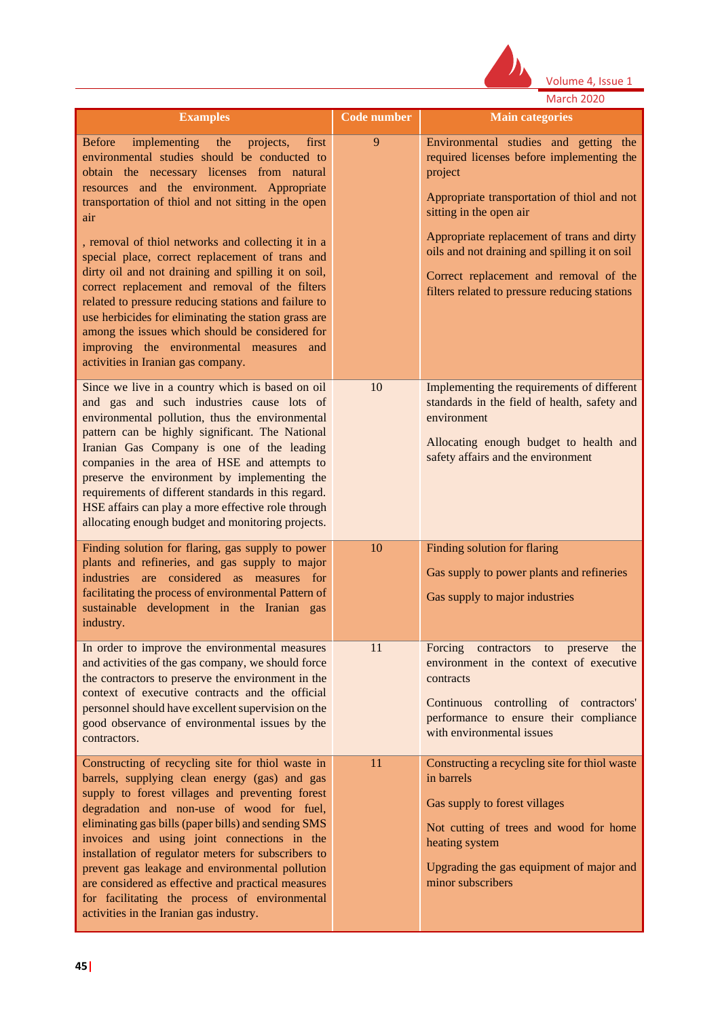

|                                                                                                                                                                                                                                                                                                                                                                                                                                                                                                                                                                                                                                                                                                                                          |                    | <b>March 2020</b>                                                                                                                                                                                                                                                                                                                                                 |
|------------------------------------------------------------------------------------------------------------------------------------------------------------------------------------------------------------------------------------------------------------------------------------------------------------------------------------------------------------------------------------------------------------------------------------------------------------------------------------------------------------------------------------------------------------------------------------------------------------------------------------------------------------------------------------------------------------------------------------------|--------------------|-------------------------------------------------------------------------------------------------------------------------------------------------------------------------------------------------------------------------------------------------------------------------------------------------------------------------------------------------------------------|
| <b>Examples</b>                                                                                                                                                                                                                                                                                                                                                                                                                                                                                                                                                                                                                                                                                                                          | <b>Code number</b> | <b>Main categories</b>                                                                                                                                                                                                                                                                                                                                            |
| <b>Before</b><br>implementing the<br>projects,<br>first<br>environmental studies should be conducted to<br>obtain the necessary licenses from natural<br>resources and the environment. Appropriate<br>transportation of thiol and not sitting in the open<br>air<br>, removal of thiol networks and collecting it in a<br>special place, correct replacement of trans and<br>dirty oil and not draining and spilling it on soil,<br>correct replacement and removal of the filters<br>related to pressure reducing stations and failure to<br>use herbicides for eliminating the station grass are<br>among the issues which should be considered for<br>improving the environmental measures and<br>activities in Iranian gas company. | 9                  | Environmental studies and getting the<br>required licenses before implementing the<br>project<br>Appropriate transportation of thiol and not<br>sitting in the open air<br>Appropriate replacement of trans and dirty<br>oils and not draining and spilling it on soil<br>Correct replacement and removal of the<br>filters related to pressure reducing stations |
| Since we live in a country which is based on oil<br>and gas and such industries cause lots of<br>environmental pollution, thus the environmental<br>pattern can be highly significant. The National<br>Iranian Gas Company is one of the leading<br>companies in the area of HSE and attempts to<br>preserve the environment by implementing the<br>requirements of different standards in this regard.<br>HSE affairs can play a more effective role through<br>allocating enough budget and monitoring projects.                                                                                                                                                                                                                       | 10                 | Implementing the requirements of different<br>standards in the field of health, safety and<br>environment<br>Allocating enough budget to health and<br>safety affairs and the environment                                                                                                                                                                         |
| Finding solution for flaring, gas supply to power<br>plants and refineries, and gas supply to major<br>industries are considered as measures for<br>facilitating the process of environmental Pattern of<br>sustainable development in the Iranian gas<br>industry.                                                                                                                                                                                                                                                                                                                                                                                                                                                                      | 10                 | Finding solution for flaring<br>Gas supply to power plants and refineries<br>Gas supply to major industries                                                                                                                                                                                                                                                       |
| In order to improve the environmental measures<br>and activities of the gas company, we should force<br>the contractors to preserve the environment in the<br>context of executive contracts and the official<br>personnel should have excellent supervision on the<br>good observance of environmental issues by the<br>contractors.                                                                                                                                                                                                                                                                                                                                                                                                    | 11                 | Forcing contractors<br>to<br>preserve<br>the<br>environment in the context of executive<br>contracts<br>Continuous controlling of contractors'<br>performance to ensure their compliance<br>with environmental issues                                                                                                                                             |
| Constructing of recycling site for thiol waste in<br>barrels, supplying clean energy (gas) and gas<br>supply to forest villages and preventing forest<br>degradation and non-use of wood for fuel,<br>eliminating gas bills (paper bills) and sending SMS<br>invoices and using joint connections in the<br>installation of regulator meters for subscribers to<br>prevent gas leakage and environmental pollution<br>are considered as effective and practical measures<br>for facilitating the process of environmental<br>activities in the Iranian gas industry.                                                                                                                                                                     | 11                 | Constructing a recycling site for thiol waste<br>in barrels<br>Gas supply to forest villages<br>Not cutting of trees and wood for home<br>heating system<br>Upgrading the gas equipment of major and<br>minor subscribers                                                                                                                                         |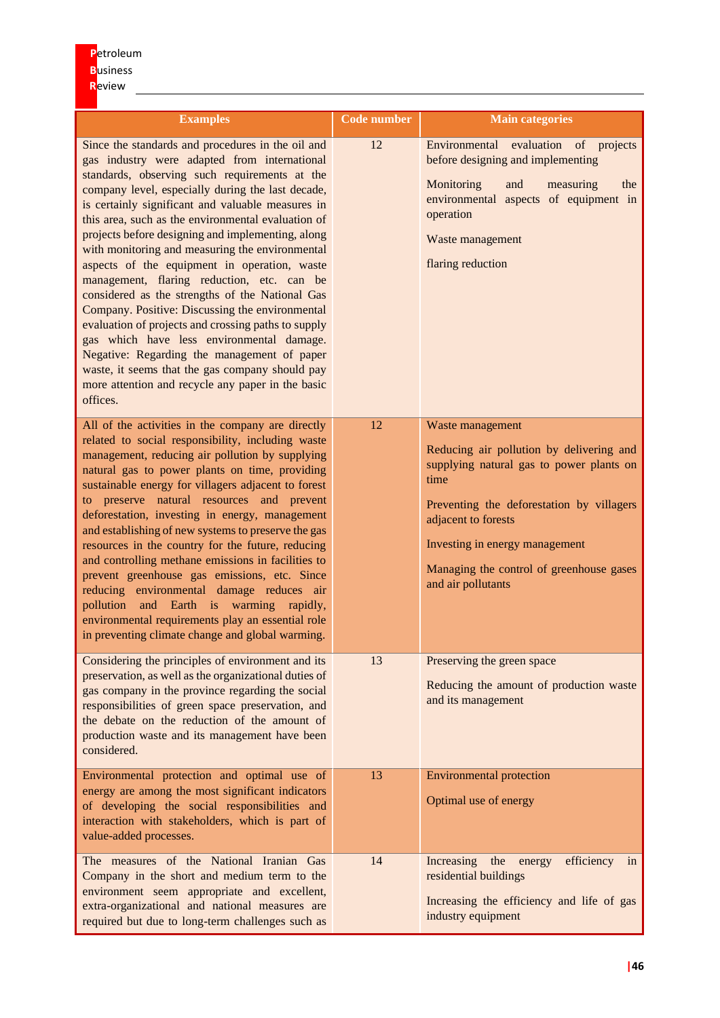| <b>Examples</b>                                                                                                                                                                                                                                                                                                                                                                                                                                                                                                                                                                                                                                                                                                                                                                                                                                                                                       | <b>Code number</b> | <b>Main categories</b>                                                                                                                                                                                                                                                                   |
|-------------------------------------------------------------------------------------------------------------------------------------------------------------------------------------------------------------------------------------------------------------------------------------------------------------------------------------------------------------------------------------------------------------------------------------------------------------------------------------------------------------------------------------------------------------------------------------------------------------------------------------------------------------------------------------------------------------------------------------------------------------------------------------------------------------------------------------------------------------------------------------------------------|--------------------|------------------------------------------------------------------------------------------------------------------------------------------------------------------------------------------------------------------------------------------------------------------------------------------|
| Since the standards and procedures in the oil and<br>gas industry were adapted from international<br>standards, observing such requirements at the<br>company level, especially during the last decade,<br>is certainly significant and valuable measures in<br>this area, such as the environmental evaluation of<br>projects before designing and implementing, along<br>with monitoring and measuring the environmental<br>aspects of the equipment in operation, waste<br>management, flaring reduction, etc. can be<br>considered as the strengths of the National Gas<br>Company. Positive: Discussing the environmental<br>evaluation of projects and crossing paths to supply<br>gas which have less environmental damage.<br>Negative: Regarding the management of paper<br>waste, it seems that the gas company should pay<br>more attention and recycle any paper in the basic<br>offices. | 12                 | Environmental evaluation of projects<br>before designing and implementing<br>Monitoring<br>and<br>the<br>measuring<br>environmental aspects of equipment in<br>operation<br>Waste management<br>flaring reduction                                                                        |
| All of the activities in the company are directly<br>related to social responsibility, including waste<br>management, reducing air pollution by supplying<br>natural gas to power plants on time, providing<br>sustainable energy for villagers adjacent to forest<br>to preserve natural resources and prevent<br>deforestation, investing in energy, management<br>and establishing of new systems to preserve the gas<br>resources in the country for the future, reducing<br>and controlling methane emissions in facilities to<br>prevent greenhouse gas emissions, etc. Since<br>reducing environmental damage reduces air<br>pollution<br>and Earth is warming rapidly,<br>environmental requirements play an essential role<br>in preventing climate change and global warming.                                                                                                               | 12                 | Waste management<br>Reducing air pollution by delivering and<br>supplying natural gas to power plants on<br>time<br>Preventing the deforestation by villagers<br>adjacent to forests<br>Investing in energy management<br>Managing the control of greenhouse gases<br>and air pollutants |
| Considering the principles of environment and its<br>preservation, as well as the organizational duties of<br>gas company in the province regarding the social<br>responsibilities of green space preservation, and<br>the debate on the reduction of the amount of<br>production waste and its management have been<br>considered.                                                                                                                                                                                                                                                                                                                                                                                                                                                                                                                                                                   | 13                 | Preserving the green space<br>Reducing the amount of production waste<br>and its management                                                                                                                                                                                              |
| Environmental protection and optimal use of<br>energy are among the most significant indicators<br>of developing the social responsibilities and<br>interaction with stakeholders, which is part of<br>value-added processes.                                                                                                                                                                                                                                                                                                                                                                                                                                                                                                                                                                                                                                                                         | 13                 | <b>Environmental protection</b><br>Optimal use of energy                                                                                                                                                                                                                                 |
| The measures of the National Iranian Gas<br>Company in the short and medium term to the<br>environment seem appropriate and excellent,<br>extra-organizational and national measures are<br>required but due to long-term challenges such as                                                                                                                                                                                                                                                                                                                                                                                                                                                                                                                                                                                                                                                          | 14                 | Increasing<br>the<br>efficiency<br>energy<br>in<br>residential buildings<br>Increasing the efficiency and life of gas<br>industry equipment                                                                                                                                              |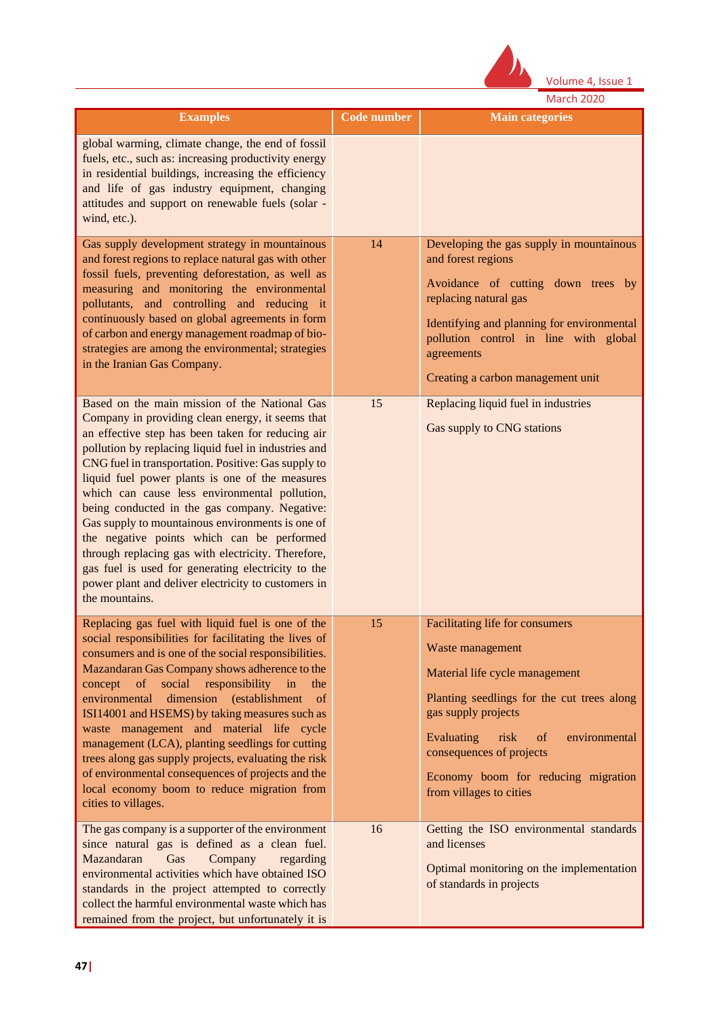

|                                                                                                                                                                                                                                                                                                                                                                                                                                                                                                                                                                                                                                                                                                                   |                    | March 2020                                                                                                                                                                                                                                                                                            |
|-------------------------------------------------------------------------------------------------------------------------------------------------------------------------------------------------------------------------------------------------------------------------------------------------------------------------------------------------------------------------------------------------------------------------------------------------------------------------------------------------------------------------------------------------------------------------------------------------------------------------------------------------------------------------------------------------------------------|--------------------|-------------------------------------------------------------------------------------------------------------------------------------------------------------------------------------------------------------------------------------------------------------------------------------------------------|
| <b>Examples</b>                                                                                                                                                                                                                                                                                                                                                                                                                                                                                                                                                                                                                                                                                                   | <b>Code number</b> | <b>Main categories</b>                                                                                                                                                                                                                                                                                |
| global warming, climate change, the end of fossil<br>fuels, etc., such as: increasing productivity energy<br>in residential buildings, increasing the efficiency<br>and life of gas industry equipment, changing<br>attitudes and support on renewable fuels (solar -<br>wind, etc.).                                                                                                                                                                                                                                                                                                                                                                                                                             |                    |                                                                                                                                                                                                                                                                                                       |
| Gas supply development strategy in mountainous<br>and forest regions to replace natural gas with other<br>fossil fuels, preventing deforestation, as well as<br>measuring and monitoring the environmental<br>pollutants, and controlling and reducing it<br>continuously based on global agreements in form<br>of carbon and energy management roadmap of bio-<br>strategies are among the environmental; strategies<br>in the Iranian Gas Company.                                                                                                                                                                                                                                                              | 14                 | Developing the gas supply in mountainous<br>and forest regions<br>Avoidance of cutting down trees by<br>replacing natural gas<br>Identifying and planning for environmental<br>pollution control in line with global<br>agreements<br>Creating a carbon management unit                               |
| Based on the main mission of the National Gas<br>Company in providing clean energy, it seems that<br>an effective step has been taken for reducing air<br>pollution by replacing liquid fuel in industries and<br>CNG fuel in transportation. Positive: Gas supply to<br>liquid fuel power plants is one of the measures<br>which can cause less environmental pollution,<br>being conducted in the gas company. Negative:<br>Gas supply to mountainous environments is one of<br>the negative points which can be performed<br>through replacing gas with electricity. Therefore,<br>gas fuel is used for generating electricity to the<br>power plant and deliver electricity to customers in<br>the mountains. | 15                 | Replacing liquid fuel in industries<br>Gas supply to CNG stations                                                                                                                                                                                                                                     |
| Replacing gas fuel with liquid fuel is one of the<br>social responsibilities for facilitating the lives of<br>consumers and is one of the social responsibilities.<br>Mazandaran Gas Company shows adherence to the<br>social<br>responsibility<br>concept<br>of<br>in<br>the<br>environmental<br>dimension (establishment of<br>ISI14001 and HSEMS) by taking measures such as<br>waste management and material life cycle<br>management (LCA), planting seedlings for cutting<br>trees along gas supply projects, evaluating the risk<br>of environmental consequences of projects and the<br>local economy boom to reduce migration from<br>cities to villages.                                                | 15                 | Facilitating life for consumers<br>Waste management<br>Material life cycle management<br>Planting seedlings for the cut trees along<br>gas supply projects<br>Evaluating<br>risk<br>of<br>environmental<br>consequences of projects<br>Economy boom for reducing migration<br>from villages to cities |
| The gas company is a supporter of the environment<br>since natural gas is defined as a clean fuel.<br>Mazandaran<br>Gas<br>Company<br>regarding<br>environmental activities which have obtained ISO<br>standards in the project attempted to correctly<br>collect the harmful environmental waste which has<br>remained from the project, but unfortunately it is                                                                                                                                                                                                                                                                                                                                                 | 16                 | Getting the ISO environmental standards<br>and licenses<br>Optimal monitoring on the implementation<br>of standards in projects                                                                                                                                                                       |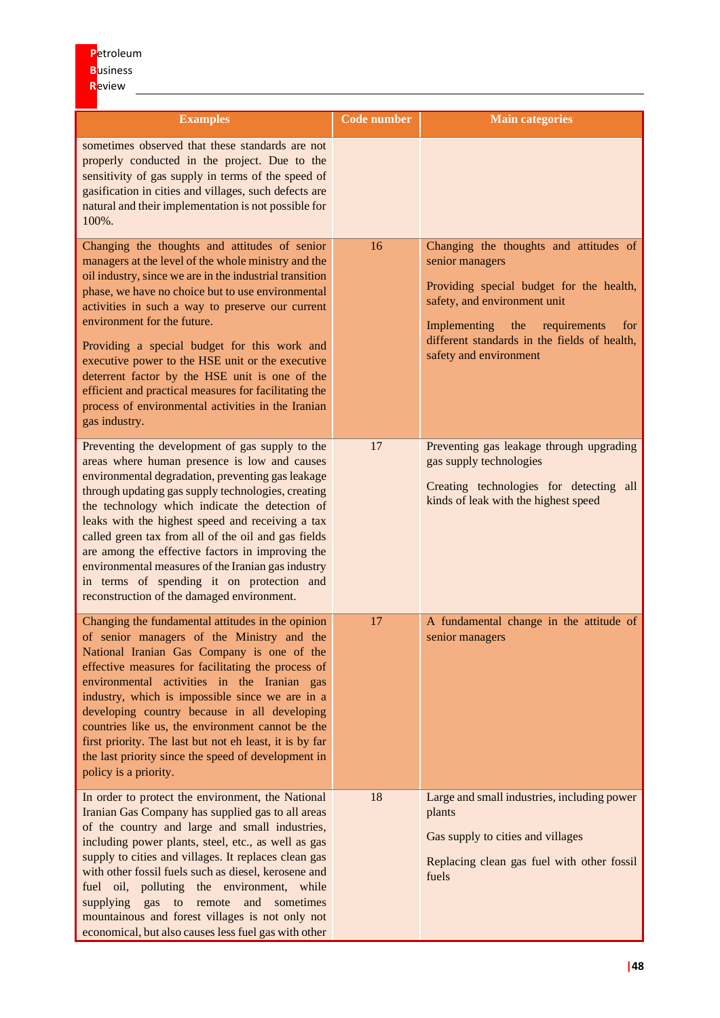| <b>Examples</b>                                                                                                                                                                                                                                                                                                                                                                                                                                                                                                                                                                               | <b>Code number</b> | <b>Main categories</b>                                                                                                                                                                                                                                        |
|-----------------------------------------------------------------------------------------------------------------------------------------------------------------------------------------------------------------------------------------------------------------------------------------------------------------------------------------------------------------------------------------------------------------------------------------------------------------------------------------------------------------------------------------------------------------------------------------------|--------------------|---------------------------------------------------------------------------------------------------------------------------------------------------------------------------------------------------------------------------------------------------------------|
| sometimes observed that these standards are not<br>properly conducted in the project. Due to the<br>sensitivity of gas supply in terms of the speed of<br>gasification in cities and villages, such defects are<br>natural and their implementation is not possible for<br>100%.                                                                                                                                                                                                                                                                                                              |                    |                                                                                                                                                                                                                                                               |
| Changing the thoughts and attitudes of senior<br>managers at the level of the whole ministry and the<br>oil industry, since we are in the industrial transition<br>phase, we have no choice but to use environmental<br>activities in such a way to preserve our current<br>environment for the future.<br>Providing a special budget for this work and<br>executive power to the HSE unit or the executive<br>deterrent factor by the HSE unit is one of the<br>efficient and practical measures for facilitating the<br>process of environmental activities in the Iranian<br>gas industry. | 16                 | Changing the thoughts and attitudes of<br>senior managers<br>Providing special budget for the health,<br>safety, and environment unit<br>Implementing<br>the<br>requirements<br>for<br>different standards in the fields of health,<br>safety and environment |
| Preventing the development of gas supply to the<br>areas where human presence is low and causes<br>environmental degradation, preventing gas leakage<br>through updating gas supply technologies, creating<br>the technology which indicate the detection of<br>leaks with the highest speed and receiving a tax<br>called green tax from all of the oil and gas fields<br>are among the effective factors in improving the<br>environmental measures of the Iranian gas industry<br>in terms of spending it on protection and<br>reconstruction of the damaged environment.                  | 17                 | Preventing gas leakage through upgrading<br>gas supply technologies<br>Creating technologies for detecting all<br>kinds of leak with the highest speed                                                                                                        |
| Changing the fundamental attitudes in the opinion<br>of senior managers of the Ministry and the<br>National Iranian Gas Company is one of the<br>effective measures for facilitating the process of<br>environmental activities in the Iranian gas<br>industry, which is impossible since we are in a<br>developing country because in all developing<br>countries like us, the environment cannot be the<br>first priority. The last but not eh least, it is by far<br>the last priority since the speed of development in<br>policy is a priority.                                          | 17                 | A fundamental change in the attitude of<br>senior managers                                                                                                                                                                                                    |
| In order to protect the environment, the National<br>Iranian Gas Company has supplied gas to all areas<br>of the country and large and small industries,<br>including power plants, steel, etc., as well as gas<br>supply to cities and villages. It replaces clean gas<br>with other fossil fuels such as diesel, kerosene and<br>fuel oil, polluting the environment, while<br>supplying<br>gas<br>to remote<br>and sometimes<br>mountainous and forest villages is not only not<br>economical, but also causes less fuel gas with other                                                    | 18                 | Large and small industries, including power<br>plants<br>Gas supply to cities and villages<br>Replacing clean gas fuel with other fossil<br>fuels                                                                                                             |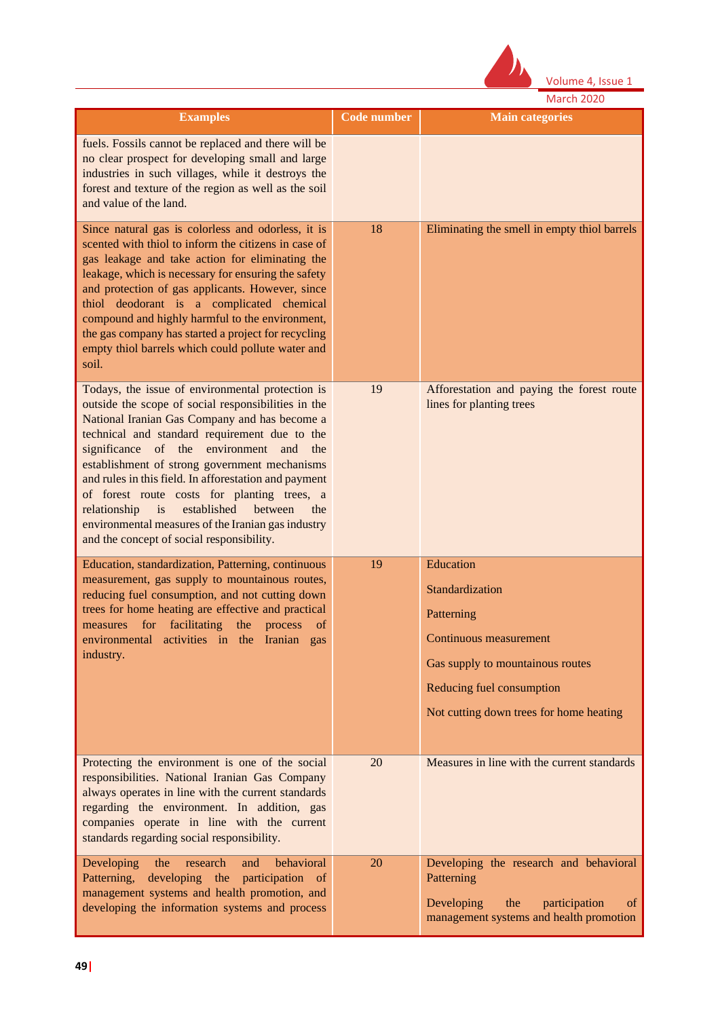

|                                                                                                                                                                                                                                                                                                                                                                                                                                                                                                                                                                                     |                    | <b>March 2020</b>                                                                                                                                                                |
|-------------------------------------------------------------------------------------------------------------------------------------------------------------------------------------------------------------------------------------------------------------------------------------------------------------------------------------------------------------------------------------------------------------------------------------------------------------------------------------------------------------------------------------------------------------------------------------|--------------------|----------------------------------------------------------------------------------------------------------------------------------------------------------------------------------|
| <b>Examples</b>                                                                                                                                                                                                                                                                                                                                                                                                                                                                                                                                                                     | <b>Code number</b> | <b>Main categories</b>                                                                                                                                                           |
| fuels. Fossils cannot be replaced and there will be<br>no clear prospect for developing small and large<br>industries in such villages, while it destroys the<br>forest and texture of the region as well as the soil<br>and value of the land.                                                                                                                                                                                                                                                                                                                                     |                    |                                                                                                                                                                                  |
| Since natural gas is colorless and odorless, it is<br>scented with thiol to inform the citizens in case of<br>gas leakage and take action for eliminating the<br>leakage, which is necessary for ensuring the safety<br>and protection of gas applicants. However, since<br>thiol deodorant is a complicated chemical<br>compound and highly harmful to the environment,<br>the gas company has started a project for recycling<br>empty thiol barrels which could pollute water and<br>soil.                                                                                       | 18                 | Eliminating the smell in empty thiol barrels                                                                                                                                     |
| Todays, the issue of environmental protection is<br>outside the scope of social responsibilities in the<br>National Iranian Gas Company and has become a<br>technical and standard requirement due to the<br>significance of the environment and the<br>establishment of strong government mechanisms<br>and rules in this field. In afforestation and payment<br>of forest route costs for planting trees, a<br>i <sub>S</sub><br>established<br>relationship<br>between<br>the<br>environmental measures of the Iranian gas industry<br>and the concept of social responsibility. | 19                 | Afforestation and paying the forest route<br>lines for planting trees                                                                                                            |
| Education, standardization, Patterning, continuous<br>measurement, gas supply to mountainous routes,<br>reducing fuel consumption, and not cutting down<br>trees for home heating are effective and practical<br>for facilitating the process<br>measures<br>of<br>environmental activities in the Iranian<br>gas<br>industry.                                                                                                                                                                                                                                                      | 19                 | Education<br>Standardization<br>Patterning<br>Continuous measurement<br>Gas supply to mountainous routes<br>Reducing fuel consumption<br>Not cutting down trees for home heating |
| Protecting the environment is one of the social<br>responsibilities. National Iranian Gas Company<br>always operates in line with the current standards<br>regarding the environment. In addition, gas<br>companies operate in line with the current<br>standards regarding social responsibility.                                                                                                                                                                                                                                                                                  | 20                 | Measures in line with the current standards                                                                                                                                      |
| behavioral<br>Developing<br>research<br>the<br>and<br>Patterning, developing the participation of<br>management systems and health promotion, and<br>developing the information systems and process                                                                                                                                                                                                                                                                                                                                                                                 | 20                 | Developing the research and behavioral<br>Patterning<br>Developing<br>the<br>participation<br>of<br>management systems and health promotion                                      |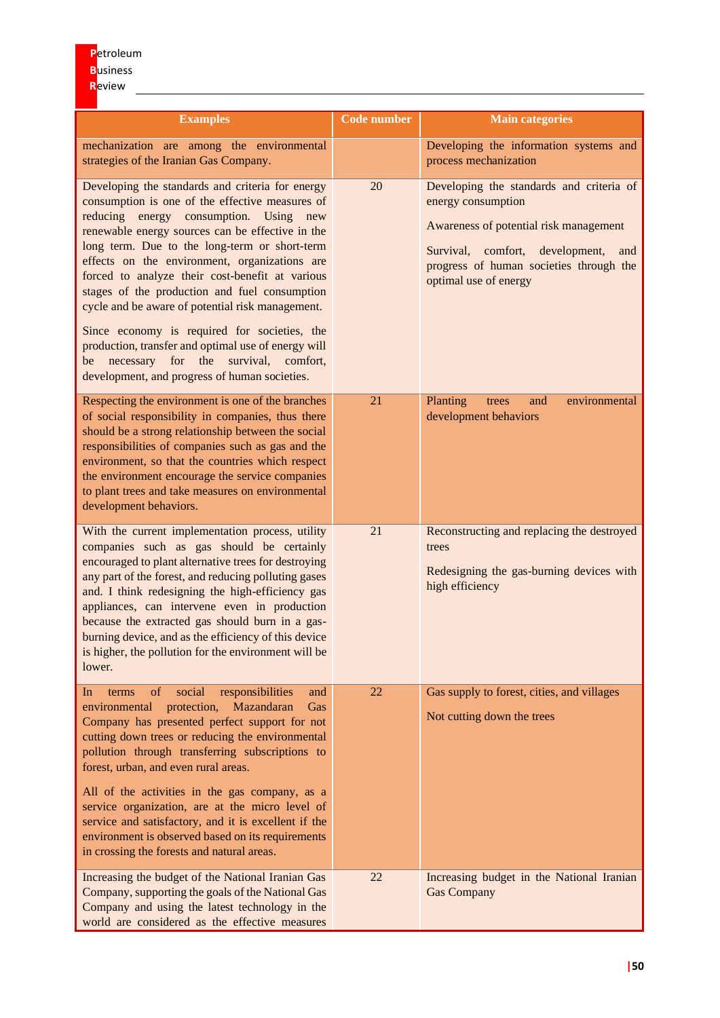| <b>Examples</b>                                                                                                                                                                                                                                                                                                                                                                                                                                                                                                                                                                                                                                                      | <b>Code number</b> | <b>Main categories</b>                                                                                                                                                                                                    |
|----------------------------------------------------------------------------------------------------------------------------------------------------------------------------------------------------------------------------------------------------------------------------------------------------------------------------------------------------------------------------------------------------------------------------------------------------------------------------------------------------------------------------------------------------------------------------------------------------------------------------------------------------------------------|--------------------|---------------------------------------------------------------------------------------------------------------------------------------------------------------------------------------------------------------------------|
| mechanization are among the environmental<br>strategies of the Iranian Gas Company.                                                                                                                                                                                                                                                                                                                                                                                                                                                                                                                                                                                  |                    | Developing the information systems and<br>process mechanization                                                                                                                                                           |
| Developing the standards and criteria for energy<br>consumption is one of the effective measures of<br>reducing energy consumption. Using new<br>renewable energy sources can be effective in the<br>long term. Due to the long-term or short-term<br>effects on the environment, organizations are<br>forced to analyze their cost-benefit at various<br>stages of the production and fuel consumption<br>cycle and be aware of potential risk management.<br>Since economy is required for societies, the<br>production, transfer and optimal use of energy will<br>necessary for the<br>survival, comfort,<br>be<br>development, and progress of human societies. | 20                 | Developing the standards and criteria of<br>energy consumption<br>Awareness of potential risk management<br>Survival, comfort,<br>development,<br>and<br>progress of human societies through the<br>optimal use of energy |
| Respecting the environment is one of the branches<br>of social responsibility in companies, thus there<br>should be a strong relationship between the social<br>responsibilities of companies such as gas and the<br>environment, so that the countries which respect<br>the environment encourage the service companies<br>to plant trees and take measures on environmental<br>development behaviors.                                                                                                                                                                                                                                                              | 21                 | environmental<br>Planting<br>and<br>trees<br>development behaviors                                                                                                                                                        |
| With the current implementation process, utility<br>companies such as gas should be certainly<br>encouraged to plant alternative trees for destroying<br>any part of the forest, and reducing polluting gases<br>and. I think redesigning the high-efficiency gas<br>appliances, can intervene even in production<br>because the extracted gas should burn in a gas-<br>burning device, and as the efficiency of this device<br>is higher, the pollution for the environment will be<br>lower.                                                                                                                                                                       | 21                 | Reconstructing and replacing the destroyed<br>trees<br>Redesigning the gas-burning devices with<br>high efficiency                                                                                                        |
| of<br>social<br>responsibilities<br>and<br>In<br>terms<br>protection,<br>Mazandaran<br>environmental<br>Gas<br>Company has presented perfect support for not<br>cutting down trees or reducing the environmental<br>pollution through transferring subscriptions to<br>forest, urban, and even rural areas.<br>All of the activities in the gas company, as a<br>service organization, are at the micro level of<br>service and satisfactory, and it is excellent if the<br>environment is observed based on its requirements<br>in crossing the forests and natural areas.                                                                                          | 22                 | Gas supply to forest, cities, and villages<br>Not cutting down the trees                                                                                                                                                  |
| Increasing the budget of the National Iranian Gas<br>Company, supporting the goals of the National Gas<br>Company and using the latest technology in the<br>world are considered as the effective measures                                                                                                                                                                                                                                                                                                                                                                                                                                                           | 22                 | Increasing budget in the National Iranian<br><b>Gas Company</b>                                                                                                                                                           |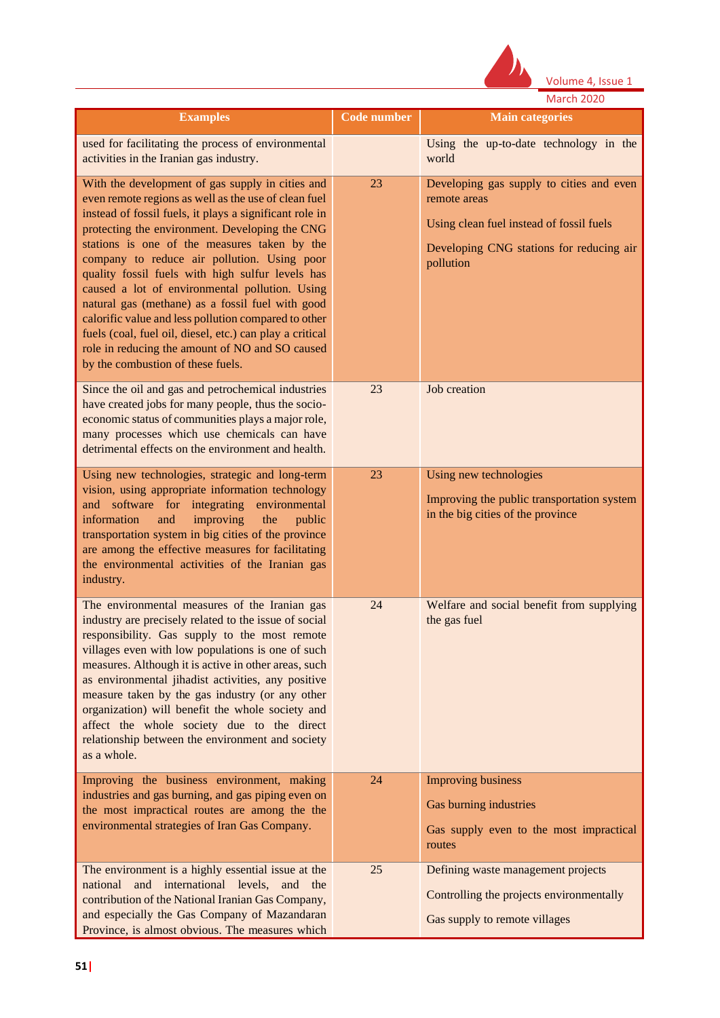

|                                                                                                                                                                                                                                                                                                                                                                                                                                                                                                                                                                                                                                                                                            |                    | <b>March 2020</b>                                                                                                                                             |
|--------------------------------------------------------------------------------------------------------------------------------------------------------------------------------------------------------------------------------------------------------------------------------------------------------------------------------------------------------------------------------------------------------------------------------------------------------------------------------------------------------------------------------------------------------------------------------------------------------------------------------------------------------------------------------------------|--------------------|---------------------------------------------------------------------------------------------------------------------------------------------------------------|
| <b>Examples</b>                                                                                                                                                                                                                                                                                                                                                                                                                                                                                                                                                                                                                                                                            | <b>Code number</b> | <b>Main categories</b>                                                                                                                                        |
| used for facilitating the process of environmental<br>activities in the Iranian gas industry.                                                                                                                                                                                                                                                                                                                                                                                                                                                                                                                                                                                              |                    | Using the up-to-date technology in the<br>world                                                                                                               |
| With the development of gas supply in cities and<br>even remote regions as well as the use of clean fuel<br>instead of fossil fuels, it plays a significant role in<br>protecting the environment. Developing the CNG<br>stations is one of the measures taken by the<br>company to reduce air pollution. Using poor<br>quality fossil fuels with high sulfur levels has<br>caused a lot of environmental pollution. Using<br>natural gas (methane) as a fossil fuel with good<br>calorific value and less pollution compared to other<br>fuels (coal, fuel oil, diesel, etc.) can play a critical<br>role in reducing the amount of NO and SO caused<br>by the combustion of these fuels. | 23                 | Developing gas supply to cities and even<br>remote areas<br>Using clean fuel instead of fossil fuels<br>Developing CNG stations for reducing air<br>pollution |
| Since the oil and gas and petrochemical industries<br>have created jobs for many people, thus the socio-<br>economic status of communities plays a major role,<br>many processes which use chemicals can have<br>detrimental effects on the environment and health.                                                                                                                                                                                                                                                                                                                                                                                                                        | 23                 | Job creation                                                                                                                                                  |
| Using new technologies, strategic and long-term<br>vision, using appropriate information technology<br>and software for integrating environmental<br>information<br>improving<br>the<br>and<br>public<br>transportation system in big cities of the province<br>are among the effective measures for facilitating<br>the environmental activities of the Iranian gas<br>industry.                                                                                                                                                                                                                                                                                                          | 23                 | Using new technologies<br>Improving the public transportation system<br>in the big cities of the province                                                     |
| The environmental measures of the Iranian gas<br>industry are precisely related to the issue of social<br>responsibility. Gas supply to the most remote<br>villages even with low populations is one of such<br>measures. Although it is active in other areas, such<br>as environmental jihadist activities, any positive<br>measure taken by the gas industry (or any other<br>organization) will benefit the whole society and<br>affect the whole society due to the direct<br>relationship between the environment and society<br>as a whole.                                                                                                                                         | 24                 | Welfare and social benefit from supplying<br>the gas fuel                                                                                                     |
| Improving the business environment, making<br>industries and gas burning, and gas piping even on<br>the most impractical routes are among the the<br>environmental strategies of Iran Gas Company.                                                                                                                                                                                                                                                                                                                                                                                                                                                                                         | 24                 | <b>Improving business</b><br>Gas burning industries<br>Gas supply even to the most impractical<br>routes                                                      |
| The environment is a highly essential issue at the<br>national and international levels, and the<br>contribution of the National Iranian Gas Company,<br>and especially the Gas Company of Mazandaran<br>Province, is almost obvious. The measures which                                                                                                                                                                                                                                                                                                                                                                                                                                   | 25                 | Defining waste management projects<br>Controlling the projects environmentally<br>Gas supply to remote villages                                               |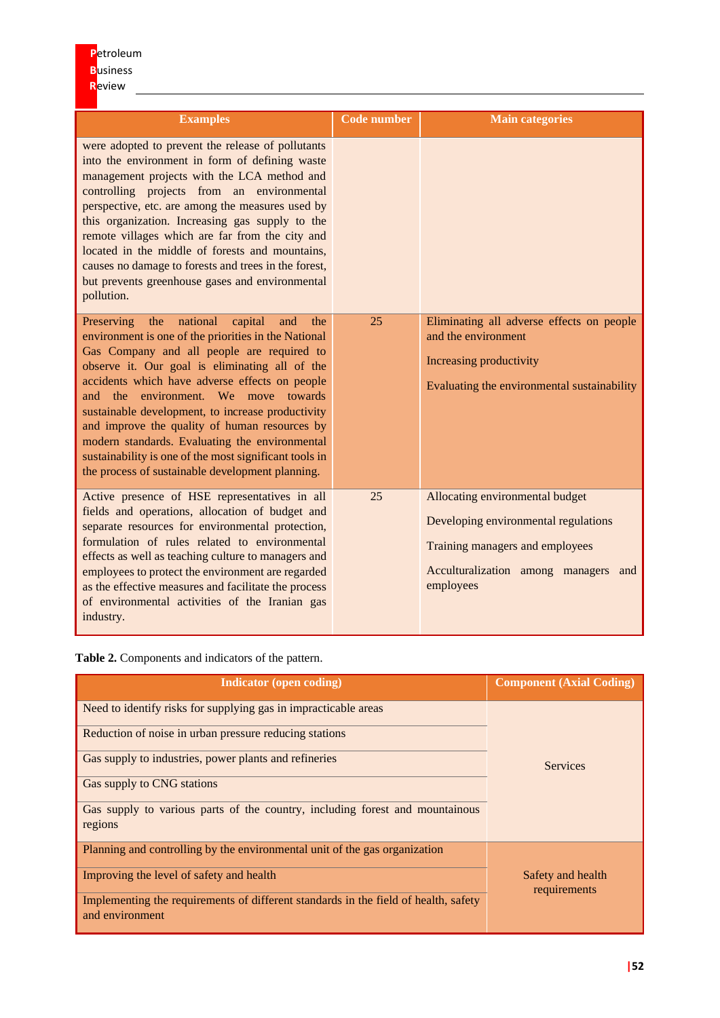| <b>Examples</b>                                                                                                                                                                                                                                                                                                                                                                                                                                                                                                                                                                          | <b>Code number</b> | <b>Main categories</b>                                                                                                                                          |
|------------------------------------------------------------------------------------------------------------------------------------------------------------------------------------------------------------------------------------------------------------------------------------------------------------------------------------------------------------------------------------------------------------------------------------------------------------------------------------------------------------------------------------------------------------------------------------------|--------------------|-----------------------------------------------------------------------------------------------------------------------------------------------------------------|
| were adopted to prevent the release of pollutants<br>into the environment in form of defining waste<br>management projects with the LCA method and<br>controlling projects from an environmental<br>perspective, etc. are among the measures used by<br>this organization. Increasing gas supply to the<br>remote villages which are far from the city and<br>located in the middle of forests and mountains,<br>causes no damage to forests and trees in the forest,<br>but prevents greenhouse gases and environmental<br>pollution.                                                   |                    |                                                                                                                                                                 |
| national<br>Preserving<br>the<br>capital<br>and<br>the<br>environment is one of the priorities in the National<br>Gas Company and all people are required to<br>observe it. Our goal is eliminating all of the<br>accidents which have adverse effects on people<br>environment. We move towards<br>the the<br>and<br>sustainable development, to increase productivity<br>and improve the quality of human resources by<br>modern standards. Evaluating the environmental<br>sustainability is one of the most significant tools in<br>the process of sustainable development planning. | 25                 | Eliminating all adverse effects on people<br>and the environment<br>Increasing productivity<br>Evaluating the environmental sustainability                      |
| Active presence of HSE representatives in all<br>fields and operations, allocation of budget and<br>separate resources for environmental protection,<br>formulation of rules related to environmental<br>effects as well as teaching culture to managers and<br>employees to protect the environment are regarded<br>as the effective measures and facilitate the process<br>of environmental activities of the Iranian gas<br>industry.                                                                                                                                                 | 25                 | Allocating environmental budget<br>Developing environmental regulations<br>Training managers and employees<br>Acculturalization among managers and<br>employees |

**Table 2.** Components and indicators of the pattern.

| <b>Indicator</b> (open coding)                                                                         | <b>Component (Axial Coding)</b>   |  |  |
|--------------------------------------------------------------------------------------------------------|-----------------------------------|--|--|
| Need to identify risks for supplying gas in impracticable areas                                        | <b>Services</b>                   |  |  |
| Reduction of noise in urban pressure reducing stations                                                 |                                   |  |  |
| Gas supply to industries, power plants and refineries                                                  |                                   |  |  |
| Gas supply to CNG stations                                                                             |                                   |  |  |
| Gas supply to various parts of the country, including forest and mountainous<br>regions                |                                   |  |  |
| Planning and controlling by the environmental unit of the gas organization                             |                                   |  |  |
| Improving the level of safety and health                                                               | Safety and health<br>requirements |  |  |
| Implementing the requirements of different standards in the field of health, safety<br>and environment |                                   |  |  |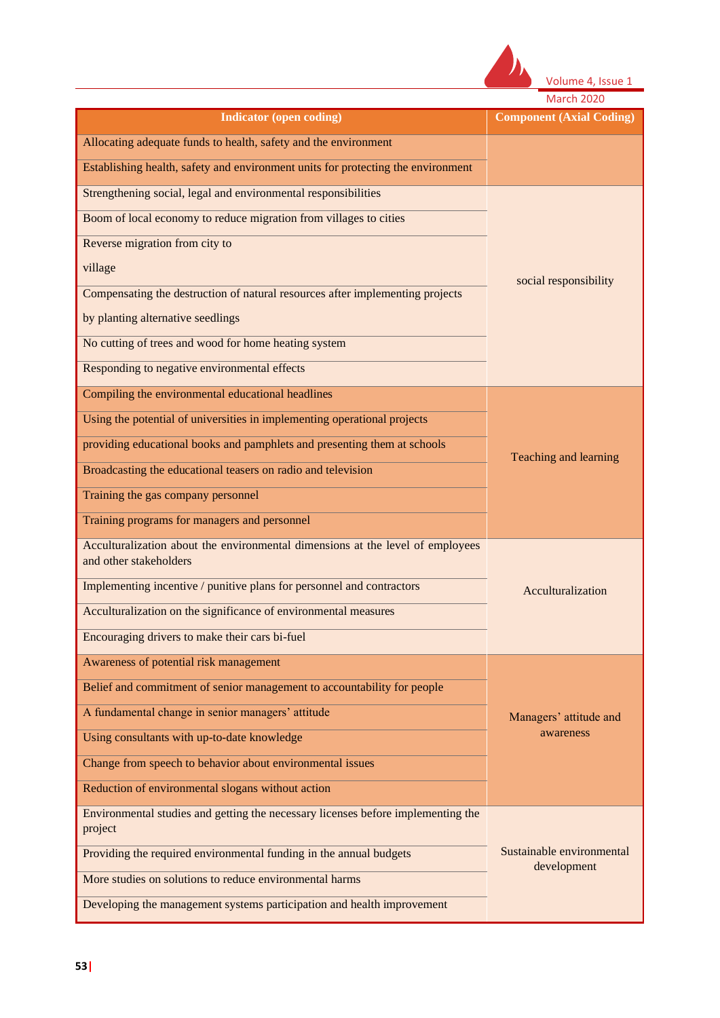

| <b>March 2020</b> |  |  |
|-------------------|--|--|
|                   |  |  |
|                   |  |  |

| <b>Indicator (open coding)</b>                                                                           | <b>Component (Axial Coding)</b>          |  |
|----------------------------------------------------------------------------------------------------------|------------------------------------------|--|
| Allocating adequate funds to health, safety and the environment                                          |                                          |  |
| Establishing health, safety and environment units for protecting the environment                         |                                          |  |
| Strengthening social, legal and environmental responsibilities                                           |                                          |  |
| Boom of local economy to reduce migration from villages to cities                                        |                                          |  |
| Reverse migration from city to                                                                           |                                          |  |
| village                                                                                                  | social responsibility                    |  |
| Compensating the destruction of natural resources after implementing projects                            |                                          |  |
| by planting alternative seedlings                                                                        |                                          |  |
| No cutting of trees and wood for home heating system                                                     |                                          |  |
| Responding to negative environmental effects                                                             |                                          |  |
| Compiling the environmental educational headlines                                                        |                                          |  |
| Using the potential of universities in implementing operational projects                                 |                                          |  |
| providing educational books and pamphlets and presenting them at schools                                 | Teaching and learning                    |  |
| Broadcasting the educational teasers on radio and television                                             |                                          |  |
| Training the gas company personnel                                                                       |                                          |  |
| Training programs for managers and personnel                                                             |                                          |  |
| Acculturalization about the environmental dimensions at the level of employees<br>and other stakeholders |                                          |  |
| Implementing incentive / punitive plans for personnel and contractors                                    | Acculturalization                        |  |
| Acculturalization on the significance of environmental measures                                          |                                          |  |
| Encouraging drivers to make their cars bi-fuel                                                           |                                          |  |
| Awareness of potential risk management                                                                   |                                          |  |
| Belief and commitment of senior management to accountability for people                                  | Managers' attitude and<br>awareness      |  |
| A fundamental change in senior managers' attitude                                                        |                                          |  |
| Using consultants with up-to-date knowledge                                                              |                                          |  |
| Change from speech to behavior about environmental issues                                                |                                          |  |
| Reduction of environmental slogans without action                                                        |                                          |  |
| Environmental studies and getting the necessary licenses before implementing the<br>project              |                                          |  |
| Providing the required environmental funding in the annual budgets                                       | Sustainable environmental<br>development |  |
| More studies on solutions to reduce environmental harms                                                  |                                          |  |
| Developing the management systems participation and health improvement                                   |                                          |  |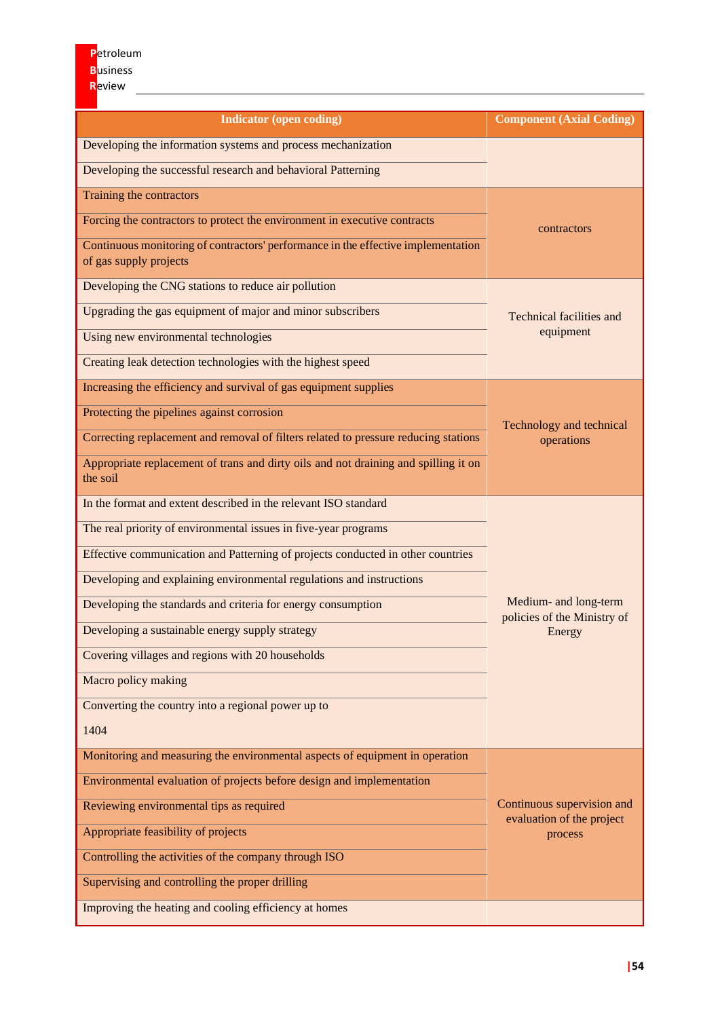| <b>Indicator (open coding)</b>                                                                              | <b>Component (Axial Coding)</b>                                    |  |
|-------------------------------------------------------------------------------------------------------------|--------------------------------------------------------------------|--|
| Developing the information systems and process mechanization                                                |                                                                    |  |
| Developing the successful research and behavioral Patterning                                                |                                                                    |  |
| Training the contractors                                                                                    |                                                                    |  |
| Forcing the contractors to protect the environment in executive contracts                                   | contractors                                                        |  |
| Continuous monitoring of contractors' performance in the effective implementation<br>of gas supply projects |                                                                    |  |
| Developing the CNG stations to reduce air pollution                                                         |                                                                    |  |
| Upgrading the gas equipment of major and minor subscribers                                                  | <b>Technical facilities and</b><br>equipment                       |  |
| Using new environmental technologies                                                                        |                                                                    |  |
| Creating leak detection technologies with the highest speed                                                 |                                                                    |  |
| Increasing the efficiency and survival of gas equipment supplies                                            |                                                                    |  |
| Protecting the pipelines against corrosion                                                                  | Technology and technical<br>operations                             |  |
| Correcting replacement and removal of filters related to pressure reducing stations                         |                                                                    |  |
| Appropriate replacement of trans and dirty oils and not draining and spilling it on<br>the soil             |                                                                    |  |
| In the format and extent described in the relevant ISO standard                                             | Medium- and long-term<br>policies of the Ministry of               |  |
| The real priority of environmental issues in five-year programs                                             |                                                                    |  |
| Effective communication and Patterning of projects conducted in other countries                             |                                                                    |  |
| Developing and explaining environmental regulations and instructions                                        |                                                                    |  |
| Developing the standards and criteria for energy consumption                                                |                                                                    |  |
| Developing a sustainable energy supply strategy                                                             | Energy                                                             |  |
| Covering villages and regions with 20 households                                                            |                                                                    |  |
| Macro policy making                                                                                         |                                                                    |  |
| Converting the country into a regional power up to                                                          |                                                                    |  |
| 1404                                                                                                        |                                                                    |  |
| Monitoring and measuring the environmental aspects of equipment in operation                                |                                                                    |  |
| Environmental evaluation of projects before design and implementation                                       |                                                                    |  |
| Reviewing environmental tips as required                                                                    | Continuous supervision and<br>evaluation of the project<br>process |  |
| Appropriate feasibility of projects                                                                         |                                                                    |  |
| Controlling the activities of the company through ISO                                                       |                                                                    |  |
| Supervising and controlling the proper drilling                                                             |                                                                    |  |
| Improving the heating and cooling efficiency at homes                                                       |                                                                    |  |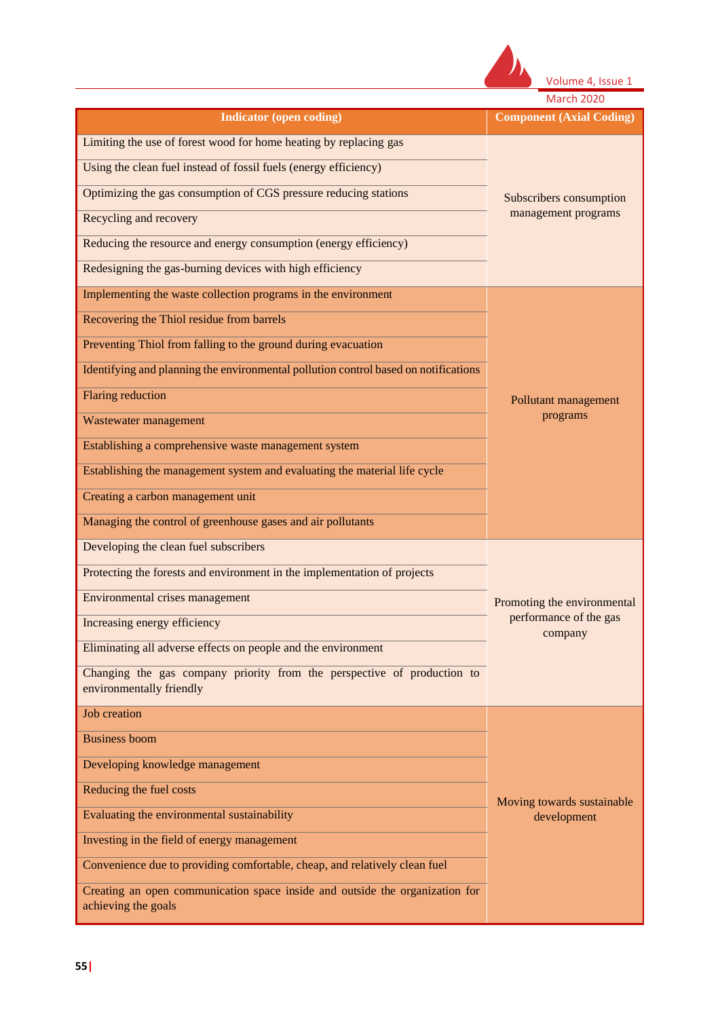

|                                                                                                                                                                                                                                                                                                                                                                                                                                                                                   | <b>March 2020</b>                                                |  |
|-----------------------------------------------------------------------------------------------------------------------------------------------------------------------------------------------------------------------------------------------------------------------------------------------------------------------------------------------------------------------------------------------------------------------------------------------------------------------------------|------------------------------------------------------------------|--|
| <b>Indicator (open coding)</b>                                                                                                                                                                                                                                                                                                                                                                                                                                                    | <b>Component (Axial Coding)</b>                                  |  |
| Limiting the use of forest wood for home heating by replacing gas<br>Using the clean fuel instead of fossil fuels (energy efficiency)<br>Optimizing the gas consumption of CGS pressure reducing stations<br>Recycling and recovery<br>Reducing the resource and energy consumption (energy efficiency)<br>Redesigning the gas-burning devices with high efficiency<br>Implementing the waste collection programs in the environment<br>Recovering the Thiol residue from barrels | Subscribers consumption<br>management programs                   |  |
| Preventing Thiol from falling to the ground during evacuation<br>Identifying and planning the environmental pollution control based on notifications<br><b>Flaring reduction</b><br>Wastewater management<br>Establishing a comprehensive waste management system<br>Establishing the management system and evaluating the material life cycle<br>Creating a carbon management unit<br>Managing the control of greenhouse gases and air pollutants                                | Pollutant management<br>programs                                 |  |
| Developing the clean fuel subscribers<br>Protecting the forests and environment in the implementation of projects<br>Environmental crises management<br>Increasing energy efficiency<br>Eliminating all adverse effects on people and the environment<br>Changing the gas company priority from the perspective of production to<br>environmentally friendly                                                                                                                      | Promoting the environmental<br>performance of the gas<br>company |  |
| <b>Job</b> creation<br><b>Business boom</b><br>Developing knowledge management<br>Reducing the fuel costs<br>Evaluating the environmental sustainability<br>Investing in the field of energy management<br>Convenience due to providing comfortable, cheap, and relatively clean fuel<br>Creating an open communication space inside and outside the organization for<br>achieving the goals                                                                                      | Moving towards sustainable<br>development                        |  |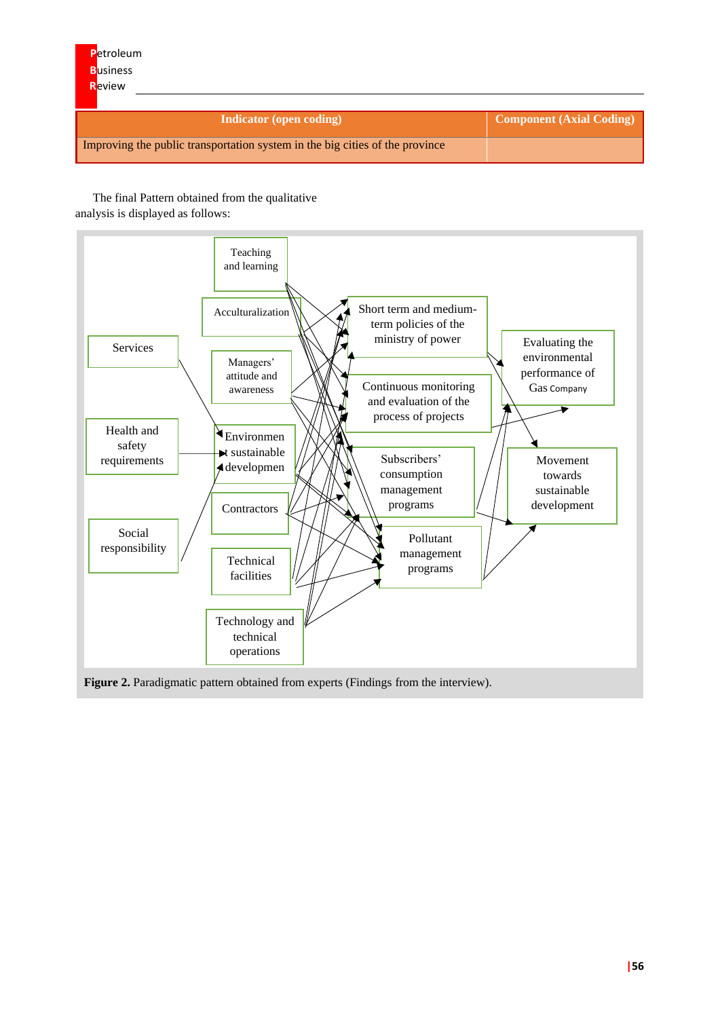| <b>Indicator</b> (open coding)                                               | <b>Component (Axial Coding)</b> |
|------------------------------------------------------------------------------|---------------------------------|
| Improving the public transportation system in the big cities of the province |                                 |

The final Pattern obtained from the qualitative analysis is displayed as follows:



# Figure 2. Paradigmatic pattern obtained from experts (Findings from the interview).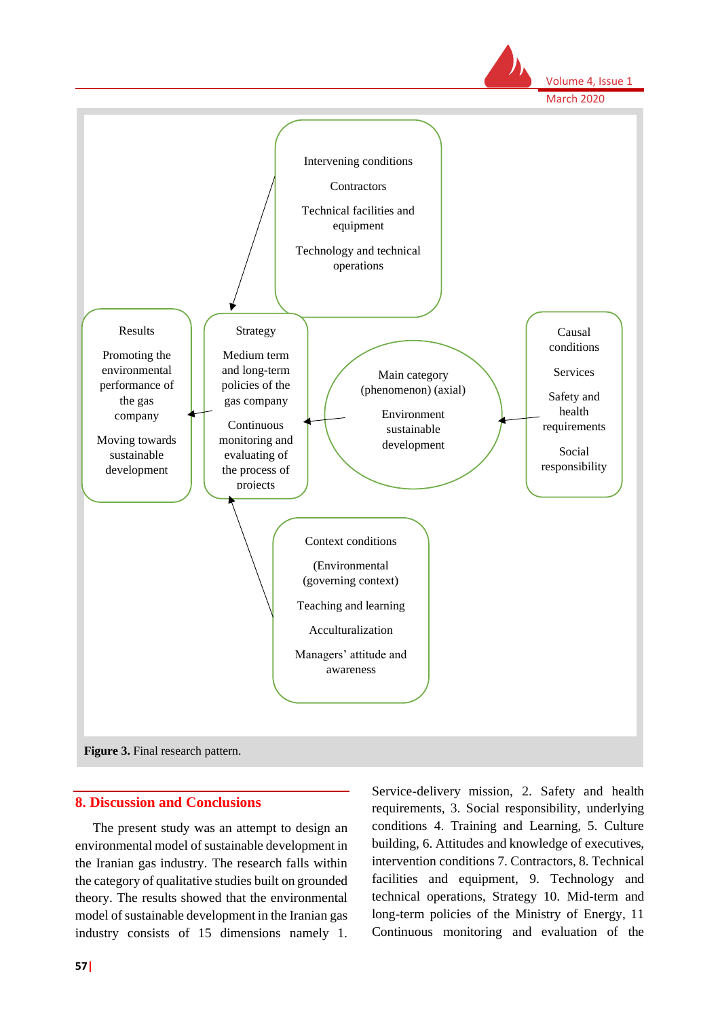

#### **8. Discussion and Conclusions**

The present study was an attempt to design an environmental model of sustainable development in the Iranian gas industry. The research falls within the category of qualitative studies built on grounded theory. The results showed that the environmental model of sustainable development in the Iranian gas industry consists of 15 dimensions namely 1.

Service-delivery mission, 2. Safety and health requirements, 3. Social responsibility, underlying conditions 4. Training and Learning, 5. Culture building, 6. Attitudes and knowledge of executives, intervention conditions 7. Contractors, 8. Technical facilities and equipment, 9. Technology and technical operations, Strategy 10. Mid-term and long-term policies of the Ministry of Energy, 11 Continuous monitoring and evaluation of the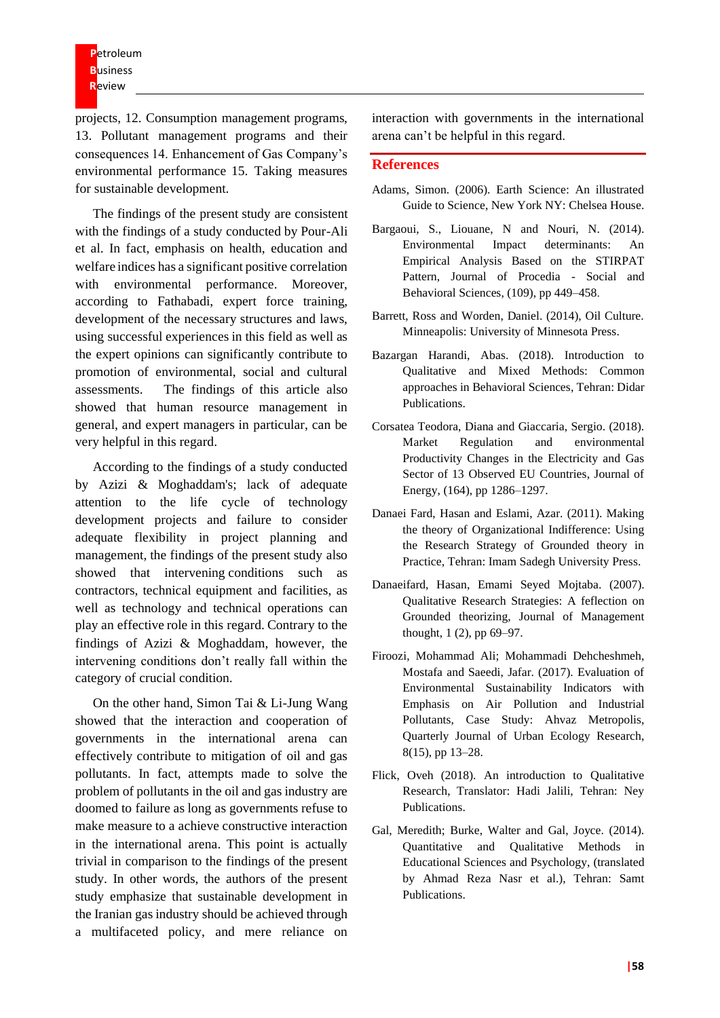**P**etroleum **B**usiness **R**eview

projects, 12. Consumption management programs, 13. Pollutant management programs and their consequences 14. Enhancement of Gas Company's environmental performance 15. Taking measures for sustainable development.

The findings of the present study are consistent with the findings of a study conducted by Pour-Ali et al. In fact, emphasis on health, education and welfare indices has a significant positive correlation with environmental performance. Moreover, according to Fathabadi, expert force training, development of the necessary structures and laws, using successful experiences in this field as well as the expert opinions can significantly contribute to promotion of environmental, social and cultural assessments. The findings of this article also showed that human resource management in general, and expert managers in particular, can be very helpful in this regard.

According to the findings of a study conducted by Azizi & Moghaddam's; lack of adequate attention to the life cycle of technology development projects and failure to consider adequate flexibility in project planning and management, the findings of the present study also showed that intervening conditions such as contractors, technical equipment and facilities, as well as technology and technical operations can play an effective role in this regard. Contrary to the findings of Azizi & Moghaddam, however, the intervening conditions don't really fall within the category of crucial condition.

On the other hand, Simon Tai & Li-Jung Wang showed that the interaction and cooperation of governments in the international arena can effectively contribute to mitigation of oil and gas pollutants. In fact, attempts made to solve the problem of pollutants in the oil and gas industry are doomed to failure as long as governments refuse to make measure to a achieve constructive interaction in the international arena. This point is actually trivial in comparison to the findings of the present study. In other words, the authors of the present study emphasize that sustainable development in the Iranian gas industry should be achieved through a multifaceted policy, and mere reliance on

interaction with governments in the international arena can't be helpful in this regard.

#### **References**

- Adams, Simon. (2006). Earth Science: An illustrated Guide to Science, New York NY: Chelsea House.
- Bargaoui, S., Liouane, N and Nouri, N. (2014). Environmental Impact determinants: An Empirical Analysis Based on the STIRPAT Pattern, Journal of Procedia - Social and Behavioral Sciences, (109), pp 449–458.
- Barrett, Ross and Worden, Daniel. (2014), Oil Culture. Minneapolis: University of Minnesota Press.
- Bazargan Harandi, Abas. (2018). Introduction to Qualitative and Mixed Methods: Common approaches in Behavioral Sciences, Tehran: Didar Publications.
- Corsatea Teodora, Diana and Giaccaria, Sergio. (2018). Market Regulation and environmental Productivity Changes in the Electricity and Gas Sector of 13 Observed EU Countries, Journal of Energy, (164), pp 1286–1297.
- Danaei Fard, Hasan and Eslami, Azar. (2011). Making the theory of Organizational Indifference: Using the Research Strategy of Grounded theory in Practice, Tehran: Imam Sadegh University Press.
- Danaeifard, Hasan, Emami Seyed Mojtaba. (2007). Qualitative Research Strategies: A feflection on Grounded theorizing, Journal of Management thought, 1 (2), pp 69–97.
- Firoozi, Mohammad Ali; Mohammadi Dehcheshmeh, Mostafa and Saeedi, Jafar. (2017). Evaluation of Environmental Sustainability Indicators with Emphasis on Air Pollution and Industrial Pollutants, Case Study: Ahvaz Metropolis, Quarterly Journal of Urban Ecology Research, 8(15), pp 13–28.
- Flick, Oveh (2018). An introduction to Qualitative Research, Translator: Hadi Jalili, Tehran: Ney Publications.
- Gal, Meredith; Burke, Walter and Gal, Joyce. (2014). Quantitative and Qualitative Methods in Educational Sciences and Psychology, (translated by Ahmad Reza Nasr et al.), Tehran: Samt Publications.